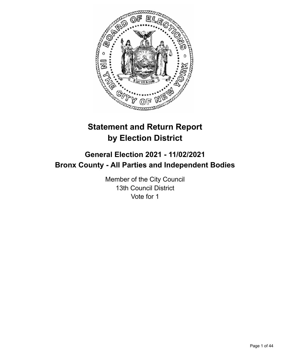

# **Statement and Return Report by Election District**

# **General Election 2021 - 11/02/2021 Bronx County - All Parties and Independent Bodies**

Member of the City Council 13th Council District Vote for 1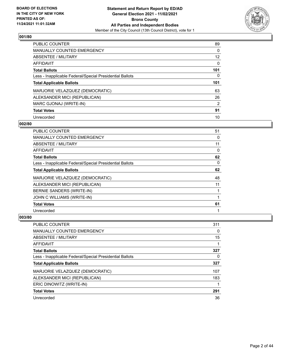

| <b>PUBLIC COUNTER</b>                                    | 89       |
|----------------------------------------------------------|----------|
| <b>MANUALLY COUNTED EMERGENCY</b>                        | 0        |
| ABSENTEE / MILITARY                                      | 12       |
| AFFIDAVIT                                                | $\Omega$ |
| <b>Total Ballots</b>                                     | 101      |
| Less - Inapplicable Federal/Special Presidential Ballots | $\Omega$ |
| <b>Total Applicable Ballots</b>                          | 101      |
| MARJORIE VELAZQUEZ (DEMOCRATIC)                          | 63       |
| ALEKSANDER MICI (REPUBLICAN)                             | 26       |
| MARC GJONAJ (WRITE-IN)                                   | 2        |
| <b>Total Votes</b>                                       | 91       |
| Unrecorded                                               | 10       |

### **002/80**

| PUBLIC COUNTER                                           | 51 |
|----------------------------------------------------------|----|
| <b>MANUALLY COUNTED EMERGENCY</b>                        | 0  |
| ABSENTEE / MILITARY                                      | 11 |
| <b>AFFIDAVIT</b>                                         | 0  |
| <b>Total Ballots</b>                                     | 62 |
| Less - Inapplicable Federal/Special Presidential Ballots | 0  |
| <b>Total Applicable Ballots</b>                          | 62 |
| MARJORIE VELAZQUEZ (DEMOCRATIC)                          | 48 |
| ALEKSANDER MICI (REPUBLICAN)                             | 11 |
| BERNIE SANDERS (WRITE-IN)                                |    |
| JOHN C WILLIAMS (WRITE-IN)                               |    |
| <b>Total Votes</b>                                       | 61 |
| Unrecorded                                               |    |

| <b>PUBLIC COUNTER</b>                                    | 311 |
|----------------------------------------------------------|-----|
| <b>MANUALLY COUNTED EMERGENCY</b>                        | 0   |
| ABSENTEE / MILITARY                                      | 15  |
| AFFIDAVIT                                                |     |
| <b>Total Ballots</b>                                     | 327 |
| Less - Inapplicable Federal/Special Presidential Ballots | 0   |
| <b>Total Applicable Ballots</b>                          | 327 |
| MARJORIE VELAZQUEZ (DEMOCRATIC)                          | 107 |
| ALEKSANDER MICI (REPUBLICAN)                             | 183 |
| ERIC DINOWITZ (WRITE-IN)                                 |     |
| <b>Total Votes</b>                                       | 291 |
| Unrecorded                                               | 36  |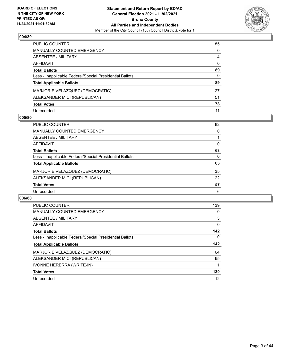

| PUBLIC COUNTER                                           | 85       |
|----------------------------------------------------------|----------|
| <b>MANUALLY COUNTED EMERGENCY</b>                        | $\Omega$ |
| ABSENTEE / MILITARY                                      | 4        |
| <b>AFFIDAVIT</b>                                         | $\Omega$ |
| <b>Total Ballots</b>                                     | 89       |
| Less - Inapplicable Federal/Special Presidential Ballots | $\Omega$ |
| <b>Total Applicable Ballots</b>                          | 89       |
| MARJORIE VELAZQUEZ (DEMOCRATIC)                          | 27       |
| ALEKSANDER MICI (REPUBLICAN)                             | 51       |
| <b>Total Votes</b>                                       | 78       |
| Unrecorded                                               | 11       |

### **005/80**

| <b>PUBLIC COUNTER</b>                                    | 62 |
|----------------------------------------------------------|----|
| <b>MANUALLY COUNTED EMERGENCY</b>                        | 0  |
| ABSENTEE / MILITARY                                      |    |
| AFFIDAVIT                                                | 0  |
| <b>Total Ballots</b>                                     | 63 |
| Less - Inapplicable Federal/Special Presidential Ballots | 0  |
| <b>Total Applicable Ballots</b>                          | 63 |
| MARJORIE VELAZQUEZ (DEMOCRATIC)                          | 35 |
| ALEKSANDER MICI (REPUBLICAN)                             | 22 |
| <b>Total Votes</b>                                       | 57 |
| Unrecorded                                               | 6  |

| <b>PUBLIC COUNTER</b>                                    | 139      |
|----------------------------------------------------------|----------|
| <b>MANUALLY COUNTED EMERGENCY</b>                        | 0        |
| ABSENTEE / MILITARY                                      | 3        |
| AFFIDAVIT                                                | $\Omega$ |
| <b>Total Ballots</b>                                     | 142      |
| Less - Inapplicable Federal/Special Presidential Ballots | 0        |
|                                                          |          |
| <b>Total Applicable Ballots</b>                          | 142      |
| MARJORIE VELAZQUEZ (DEMOCRATIC)                          | 64       |
| ALEKSANDER MICI (REPUBLICAN)                             | 65       |
| IVONNE HERERRA (WRITE-IN)                                |          |
| <b>Total Votes</b>                                       | 130      |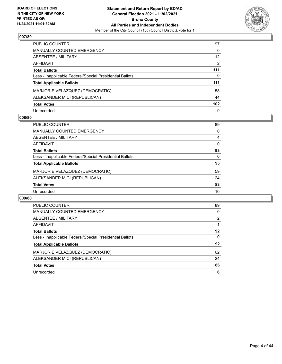

| <b>PUBLIC COUNTER</b>                                    | 97  |
|----------------------------------------------------------|-----|
| <b>MANUALLY COUNTED EMERGENCY</b>                        | 0   |
| ABSENTEE / MILITARY                                      | 12  |
| AFFIDAVIT                                                | 2   |
| <b>Total Ballots</b>                                     | 111 |
| Less - Inapplicable Federal/Special Presidential Ballots | 0   |
| <b>Total Applicable Ballots</b>                          | 111 |
| MARJORIE VELAZQUEZ (DEMOCRATIC)                          | 58  |
| ALEKSANDER MICI (REPUBLICAN)                             | 44  |
| <b>Total Votes</b>                                       | 102 |
| Unrecorded                                               | 9   |

### **008/80**

| <b>PUBLIC COUNTER</b>                                    | 89       |
|----------------------------------------------------------|----------|
| MANUALLY COUNTED EMERGENCY                               | $\Omega$ |
| ABSENTEE / MILITARY                                      | 4        |
| AFFIDAVIT                                                | $\Omega$ |
| <b>Total Ballots</b>                                     | 93       |
| Less - Inapplicable Federal/Special Presidential Ballots | 0        |
| <b>Total Applicable Ballots</b>                          | 93       |
| MARJORIE VELAZQUEZ (DEMOCRATIC)                          | 59       |
| ALEKSANDER MICI (REPUBLICAN)                             | 24       |
| <b>Total Votes</b>                                       | 83       |
| Unrecorded                                               | 10       |

| <b>PUBLIC COUNTER</b>                                    | 89             |
|----------------------------------------------------------|----------------|
| <b>MANUALLY COUNTED EMERGENCY</b>                        | 0              |
| ABSENTEE / MILITARY                                      | $\overline{2}$ |
| <b>AFFIDAVIT</b>                                         |                |
| <b>Total Ballots</b>                                     | 92             |
| Less - Inapplicable Federal/Special Presidential Ballots | 0              |
| <b>Total Applicable Ballots</b>                          | 92             |
| MARJORIE VELAZQUEZ (DEMOCRATIC)                          | 62             |
| ALEKSANDER MICI (REPUBLICAN)                             | 24             |
| <b>Total Votes</b>                                       | 86             |
| Unrecorded                                               | 6              |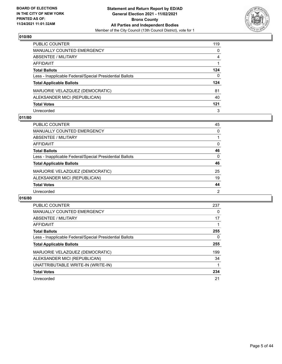

| PUBLIC COUNTER                                           | 119      |
|----------------------------------------------------------|----------|
| <b>MANUALLY COUNTED EMERGENCY</b>                        | $\Omega$ |
| <b>ABSENTEE / MILITARY</b>                               | 4        |
| <b>AFFIDAVIT</b>                                         |          |
| <b>Total Ballots</b>                                     | 124      |
| Less - Inapplicable Federal/Special Presidential Ballots | 0        |
| <b>Total Applicable Ballots</b>                          | 124      |
| MARJORIE VELAZQUEZ (DEMOCRATIC)                          | 81       |
| ALEKSANDER MICI (REPUBLICAN)                             | 40       |
| <b>Total Votes</b>                                       | 121      |
| Unrecorded                                               | 3        |

### **011/80**

| PUBLIC COUNTER                                           | 45             |
|----------------------------------------------------------|----------------|
| <b>MANUALLY COUNTED EMERGENCY</b>                        | 0              |
| ABSENTEE / MILITARY                                      |                |
| AFFIDAVIT                                                | $\Omega$       |
| <b>Total Ballots</b>                                     | 46             |
| Less - Inapplicable Federal/Special Presidential Ballots | $\Omega$       |
| <b>Total Applicable Ballots</b>                          | 46             |
| MARJORIE VELAZQUEZ (DEMOCRATIC)                          | 25             |
| ALEKSANDER MICI (REPUBLICAN)                             | 19             |
| <b>Total Votes</b>                                       | 44             |
| Unrecorded                                               | $\overline{2}$ |

| <b>PUBLIC COUNTER</b>                                    | 237 |
|----------------------------------------------------------|-----|
| <b>MANUALLY COUNTED EMERGENCY</b>                        | 0   |
| ABSENTEE / MILITARY                                      | 17  |
| AFFIDAVIT                                                |     |
| <b>Total Ballots</b>                                     | 255 |
| Less - Inapplicable Federal/Special Presidential Ballots | 0   |
| <b>Total Applicable Ballots</b>                          | 255 |
| MARJORIE VELAZQUEZ (DEMOCRATIC)                          | 199 |
| ALEKSANDER MICI (REPUBLICAN)                             | 34  |
| UNATTRIBUTABLE WRITE-IN (WRITE-IN)                       |     |
| <b>Total Votes</b>                                       | 234 |
| Unrecorded                                               | 21  |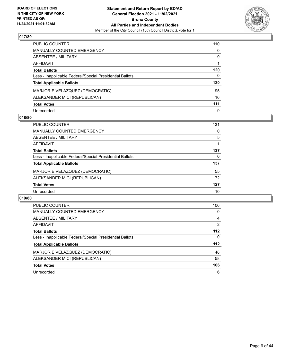

| PUBLIC COUNTER                                           | 110 |
|----------------------------------------------------------|-----|
| <b>MANUALLY COUNTED EMERGENCY</b>                        | 0   |
| <b>ABSENTEE / MILITARY</b>                               | 9   |
| <b>AFFIDAVIT</b>                                         |     |
| <b>Total Ballots</b>                                     | 120 |
| Less - Inapplicable Federal/Special Presidential Ballots | 0   |
| <b>Total Applicable Ballots</b>                          | 120 |
| MARJORIE VELAZQUEZ (DEMOCRATIC)                          | 95  |
| ALEKSANDER MICI (REPUBLICAN)                             | 16  |
| <b>Total Votes</b>                                       | 111 |
| Unrecorded                                               | 9   |

### **018/80**

| PUBLIC COUNTER                                           | 131 |
|----------------------------------------------------------|-----|
| <b>MANUALLY COUNTED EMERGENCY</b>                        | 0   |
| ABSENTEE / MILITARY                                      | 5   |
| AFFIDAVIT                                                |     |
| <b>Total Ballots</b>                                     | 137 |
| Less - Inapplicable Federal/Special Presidential Ballots | 0   |
| <b>Total Applicable Ballots</b>                          | 137 |
| MARJORIE VELAZQUEZ (DEMOCRATIC)                          | 55  |
| ALEKSANDER MICI (REPUBLICAN)                             | 72  |
| <b>Total Votes</b>                                       | 127 |
| Unrecorded                                               | 10  |

| <b>PUBLIC COUNTER</b>                                    | 106   |
|----------------------------------------------------------|-------|
| <b>MANUALLY COUNTED EMERGENCY</b>                        | 0     |
| ABSENTEE / MILITARY                                      | 4     |
| <b>AFFIDAVIT</b>                                         | 2     |
| <b>Total Ballots</b>                                     | $112$ |
| Less - Inapplicable Federal/Special Presidential Ballots | 0     |
| <b>Total Applicable Ballots</b>                          | 112   |
| MARJORIE VELAZQUEZ (DEMOCRATIC)                          | 48    |
| ALEKSANDER MICI (REPUBLICAN)                             | 58    |
| <b>Total Votes</b>                                       | 106   |
| Unrecorded                                               | 6     |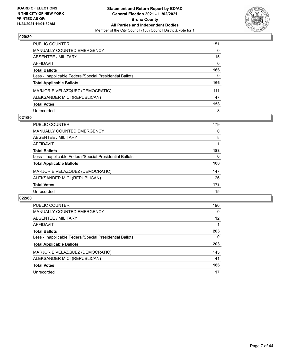

| <b>PUBLIC COUNTER</b>                                    | 151      |
|----------------------------------------------------------|----------|
| MANUALLY COUNTED EMERGENCY                               | $\Omega$ |
| <b>ABSENTEE / MILITARY</b>                               | 15       |
| AFFIDAVIT                                                | $\Omega$ |
| <b>Total Ballots</b>                                     | 166      |
| Less - Inapplicable Federal/Special Presidential Ballots | 0        |
| <b>Total Applicable Ballots</b>                          | 166      |
| MARJORIE VELAZQUEZ (DEMOCRATIC)                          | 111      |
| ALEKSANDER MICI (REPUBLICAN)                             | 47       |
| <b>Total Votes</b>                                       | 158      |
| Unrecorded                                               | 8        |

### **021/80**

| PUBLIC COUNTER                                           | 179 |
|----------------------------------------------------------|-----|
| <b>MANUALLY COUNTED EMERGENCY</b>                        | 0   |
| ABSENTEE / MILITARY                                      | 8   |
| AFFIDAVIT                                                |     |
| <b>Total Ballots</b>                                     | 188 |
| Less - Inapplicable Federal/Special Presidential Ballots | 0   |
| <b>Total Applicable Ballots</b>                          | 188 |
| MARJORIE VELAZQUEZ (DEMOCRATIC)                          | 147 |
| ALEKSANDER MICI (REPUBLICAN)                             | 26  |
| <b>Total Votes</b>                                       | 173 |
| Unrecorded                                               | 15  |

| <b>PUBLIC COUNTER</b>                                    | 190      |
|----------------------------------------------------------|----------|
| <b>MANUALLY COUNTED EMERGENCY</b>                        | $\Omega$ |
| ABSENTEE / MILITARY                                      | 12       |
| <b>AFFIDAVIT</b>                                         |          |
| <b>Total Ballots</b>                                     | 203      |
| Less - Inapplicable Federal/Special Presidential Ballots | 0        |
| <b>Total Applicable Ballots</b>                          | 203      |
| MARJORIE VELAZQUEZ (DEMOCRATIC)                          | 145      |
| ALEKSANDER MICI (REPUBLICAN)                             | 41       |
| <b>Total Votes</b>                                       | 186      |
| Unrecorded                                               | 17       |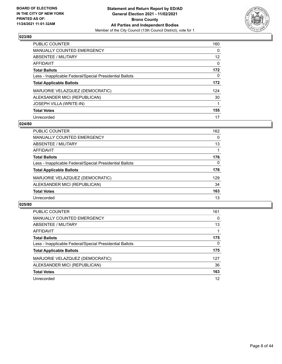

| <b>PUBLIC COUNTER</b>                                    | 160      |
|----------------------------------------------------------|----------|
| <b>MANUALLY COUNTED EMERGENCY</b>                        | 0        |
| ABSENTEE / MILITARY                                      | 12       |
| AFFIDAVIT                                                | $\Omega$ |
| <b>Total Ballots</b>                                     | 172      |
| Less - Inapplicable Federal/Special Presidential Ballots | 0        |
| <b>Total Applicable Ballots</b>                          | 172      |
| MARJORIE VELAZQUEZ (DEMOCRATIC)                          | 124      |
| ALEKSANDER MICI (REPUBLICAN)                             | 30       |
| <b>JOSEPH VILLA (WRITE-IN)</b>                           |          |
| <b>Total Votes</b>                                       | 155      |
| Unrecorded                                               | 17       |

### **024/80**

| <b>PUBLIC COUNTER</b>                                    | 162      |
|----------------------------------------------------------|----------|
| <b>MANUALLY COUNTED EMERGENCY</b>                        | 0        |
| ABSENTEE / MILITARY                                      | 13       |
| AFFIDAVIT                                                |          |
| <b>Total Ballots</b>                                     | 176      |
| Less - Inapplicable Federal/Special Presidential Ballots | $\Omega$ |
| <b>Total Applicable Ballots</b>                          | 176      |
| MARJORIE VELAZQUEZ (DEMOCRATIC)                          | 129      |
| ALEKSANDER MICI (REPUBLICAN)                             | 34       |
| <b>Total Votes</b>                                       | 163      |
| Unrecorded                                               | 13       |

| <b>PUBLIC COUNTER</b>                                    | 161      |
|----------------------------------------------------------|----------|
| MANUALLY COUNTED EMERGENCY                               | 0        |
| ABSENTEE / MILITARY                                      | 13       |
| AFFIDAVIT                                                |          |
| <b>Total Ballots</b>                                     | 175      |
| Less - Inapplicable Federal/Special Presidential Ballots | $\Omega$ |
| <b>Total Applicable Ballots</b>                          | 175      |
| MARJORIE VELAZQUEZ (DEMOCRATIC)                          | 127      |
| ALEKSANDER MICI (REPUBLICAN)                             | 36       |
| <b>Total Votes</b>                                       | 163      |
| Unrecorded                                               | 12       |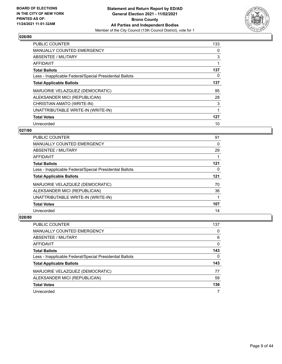

| <b>PUBLIC COUNTER</b>                                    | 133 |
|----------------------------------------------------------|-----|
| <b>MANUALLY COUNTED EMERGENCY</b>                        | 0   |
| ABSENTEE / MILITARY                                      | 3   |
| <b>AFFIDAVIT</b>                                         |     |
| <b>Total Ballots</b>                                     | 137 |
| Less - Inapplicable Federal/Special Presidential Ballots | 0   |
| <b>Total Applicable Ballots</b>                          | 137 |
| MARJORIE VELAZQUEZ (DEMOCRATIC)                          | 95  |
| ALEKSANDER MICI (REPUBLICAN)                             | 28  |
| CHRISTIAN AMATO (WRITE-IN)                               | 3   |
| UNATTRIBUTABLE WRITE-IN (WRITE-IN)                       |     |
| <b>Total Votes</b>                                       | 127 |
| Unrecorded                                               | 10  |

# **027/80**

| <b>PUBLIC COUNTER</b>                                    | 91  |
|----------------------------------------------------------|-----|
| <b>MANUALLY COUNTED EMERGENCY</b>                        | 0   |
| ABSENTEE / MILITARY                                      | 29  |
| AFFIDAVIT                                                |     |
| <b>Total Ballots</b>                                     | 121 |
| Less - Inapplicable Federal/Special Presidential Ballots | 0   |
| <b>Total Applicable Ballots</b>                          | 121 |
| MARJORIE VELAZQUEZ (DEMOCRATIC)                          | 70  |
| ALEKSANDER MICI (REPUBLICAN)                             | 36  |
| UNATTRIBUTABLE WRITE-IN (WRITE-IN)                       |     |
| <b>Total Votes</b>                                       | 107 |
| Unrecorded                                               | 14  |

| PUBLIC COUNTER                                           | 137      |
|----------------------------------------------------------|----------|
| <b>MANUALLY COUNTED EMERGENCY</b>                        | $\Omega$ |
| ABSENTEE / MILITARY                                      | 6        |
| AFFIDAVIT                                                | 0        |
| <b>Total Ballots</b>                                     | 143      |
| Less - Inapplicable Federal/Special Presidential Ballots | 0        |
| <b>Total Applicable Ballots</b>                          | 143      |
| MARJORIE VELAZQUEZ (DEMOCRATIC)                          | 77       |
| ALEKSANDER MICI (REPUBLICAN)                             | 59       |
| <b>Total Votes</b>                                       | 136      |
| Unrecorded                                               |          |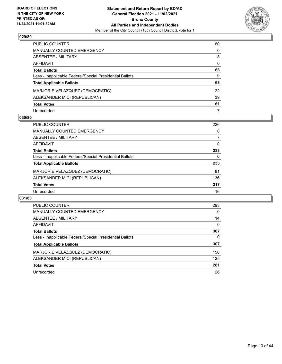

| PUBLIC COUNTER                                           | 60       |
|----------------------------------------------------------|----------|
| <b>MANUALLY COUNTED EMERGENCY</b>                        | $\Omega$ |
| ABSENTEE / MILITARY                                      | 8        |
| AFFIDAVIT                                                | $\Omega$ |
| <b>Total Ballots</b>                                     | 68       |
| Less - Inapplicable Federal/Special Presidential Ballots | 0        |
| <b>Total Applicable Ballots</b>                          | 68       |
| MARJORIE VELAZQUEZ (DEMOCRATIC)                          | 22       |
| ALEKSANDER MICI (REPUBLICAN)                             | 39       |
| <b>Total Votes</b>                                       | 61       |
| Unrecorded                                               | 7        |

### **030/80**

| PUBLIC COUNTER                                           | 226      |
|----------------------------------------------------------|----------|
| <b>MANUALLY COUNTED EMERGENCY</b>                        | 0        |
| ABSENTEE / MILITARY                                      |          |
| AFFIDAVIT                                                | $\Omega$ |
| <b>Total Ballots</b>                                     | 233      |
| Less - Inapplicable Federal/Special Presidential Ballots | 0        |
| <b>Total Applicable Ballots</b>                          | 233      |
| MARJORIE VELAZQUEZ (DEMOCRATIC)                          | 81       |
| ALEKSANDER MICI (REPUBLICAN)                             | 136      |
| <b>Total Votes</b>                                       | 217      |
| Unrecorded                                               | 16       |

| <b>PUBLIC COUNTER</b>                                    | 293      |
|----------------------------------------------------------|----------|
| <b>MANUALLY COUNTED EMERGENCY</b>                        | $\Omega$ |
| <b>ABSENTEE / MILITARY</b>                               | 14       |
| AFFIDAVIT                                                | $\Omega$ |
| <b>Total Ballots</b>                                     | 307      |
| Less - Inapplicable Federal/Special Presidential Ballots | 0        |
| <b>Total Applicable Ballots</b>                          | 307      |
| MARJORIE VELAZQUEZ (DEMOCRATIC)                          | 156      |
| ALEKSANDER MICI (REPUBLICAN)                             | 125      |
| <b>Total Votes</b>                                       | 281      |
| Unrecorded                                               | 26       |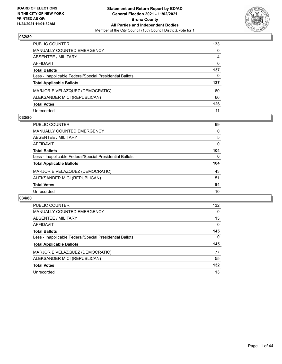

| PUBLIC COUNTER                                           | 133          |
|----------------------------------------------------------|--------------|
| MANUALLY COUNTED EMERGENCY                               | $\mathbf{0}$ |
| <b>ABSENTEE / MILITARY</b>                               | 4            |
| AFFIDAVIT                                                | $\Omega$     |
| <b>Total Ballots</b>                                     | 137          |
| Less - Inapplicable Federal/Special Presidential Ballots | 0            |
| <b>Total Applicable Ballots</b>                          | 137          |
| MARJORIE VELAZQUEZ (DEMOCRATIC)                          | 60           |
| ALEKSANDER MICI (REPUBLICAN)                             | 66           |
| <b>Total Votes</b>                                       | 126          |
| Unrecorded                                               | 11           |

### **033/80**

| PUBLIC COUNTER                                           | 99       |
|----------------------------------------------------------|----------|
| MANUALLY COUNTED EMERGENCY                               | $\Omega$ |
| ABSENTEE / MILITARY                                      | 5        |
| AFFIDAVIT                                                | 0        |
| <b>Total Ballots</b>                                     | 104      |
| Less - Inapplicable Federal/Special Presidential Ballots | $\Omega$ |
| <b>Total Applicable Ballots</b>                          | 104      |
| MARJORIE VELAZQUEZ (DEMOCRATIC)                          | 43       |
| ALEKSANDER MICI (REPUBLICAN)                             | 51       |
| <b>Total Votes</b>                                       | 94       |
| Unrecorded                                               | 10       |

| <b>PUBLIC COUNTER</b>                                    | 132      |
|----------------------------------------------------------|----------|
| <b>MANUALLY COUNTED EMERGENCY</b>                        | 0        |
| ABSENTEE / MILITARY                                      | 13       |
| <b>AFFIDAVIT</b>                                         | $\Omega$ |
| <b>Total Ballots</b>                                     | 145      |
| Less - Inapplicable Federal/Special Presidential Ballots | 0        |
| <b>Total Applicable Ballots</b>                          | 145      |
| MARJORIE VELAZQUEZ (DEMOCRATIC)                          | 77       |
| ALEKSANDER MICI (REPUBLICAN)                             | 55       |
| <b>Total Votes</b>                                       | 132      |
| Unrecorded                                               | 13       |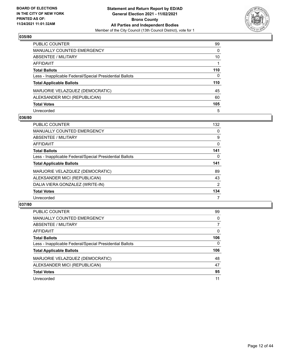

| PUBLIC COUNTER                                           | 99       |
|----------------------------------------------------------|----------|
| MANUALLY COUNTED EMERGENCY                               | $\Omega$ |
| ABSENTEE / MILITARY                                      | 10       |
| <b>AFFIDAVIT</b>                                         |          |
| <b>Total Ballots</b>                                     | 110      |
| Less - Inapplicable Federal/Special Presidential Ballots | 0        |
| <b>Total Applicable Ballots</b>                          | 110      |
| MARJORIE VELAZQUEZ (DEMOCRATIC)                          | 45       |
| ALEKSANDER MICI (REPUBLICAN)                             | 60       |
| <b>Total Votes</b>                                       | 105      |
| Unrecorded                                               | 5        |

### **036/80**

| PUBLIC COUNTER                                           | 132      |
|----------------------------------------------------------|----------|
| <b>MANUALLY COUNTED EMERGENCY</b>                        | 0        |
| ABSENTEE / MILITARY                                      | 9        |
| AFFIDAVIT                                                | $\Omega$ |
| <b>Total Ballots</b>                                     | 141      |
| Less - Inapplicable Federal/Special Presidential Ballots | 0        |
| <b>Total Applicable Ballots</b>                          | 141      |
| MARJORIE VELAZQUEZ (DEMOCRATIC)                          | 89       |
| ALEKSANDER MICI (REPUBLICAN)                             | 43       |
|                                                          |          |
| DALIA VIERA GONZALEZ (WRITE-IN)                          | 2        |
| <b>Total Votes</b>                                       | 134      |

| PUBLIC COUNTER                                           | 99       |
|----------------------------------------------------------|----------|
| MANUALLY COUNTED EMERGENCY                               | 0        |
| ABSENTEE / MILITARY                                      | 7        |
| AFFIDAVIT                                                | $\Omega$ |
| <b>Total Ballots</b>                                     | 106      |
| Less - Inapplicable Federal/Special Presidential Ballots | $\Omega$ |
| <b>Total Applicable Ballots</b>                          | 106      |
| MARJORIE VELAZQUEZ (DEMOCRATIC)                          | 48       |
| ALEKSANDER MICI (REPUBLICAN)                             | 47       |
| <b>Total Votes</b>                                       | 95       |
| Unrecorded                                               | 11       |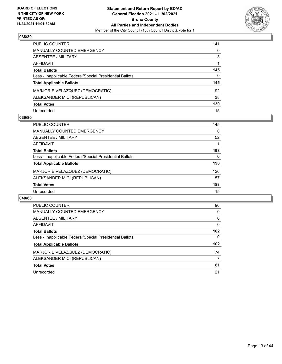

| PUBLIC COUNTER                                           | 141          |
|----------------------------------------------------------|--------------|
| MANUALLY COUNTED EMERGENCY                               | 0            |
| <b>ABSENTEE / MILITARY</b>                               | 3            |
| AFFIDAVIT                                                |              |
| <b>Total Ballots</b>                                     | 145          |
| Less - Inapplicable Federal/Special Presidential Ballots | $\mathbf{0}$ |
| <b>Total Applicable Ballots</b>                          | 145          |
| MARJORIE VELAZQUEZ (DEMOCRATIC)                          | 92           |
| ALEKSANDER MICI (REPUBLICAN)                             | 38           |
| <b>Total Votes</b>                                       | 130          |
| Unrecorded                                               | 15           |

### **039/80**

| PUBLIC COUNTER                                           | 145      |
|----------------------------------------------------------|----------|
| <b>MANUALLY COUNTED EMERGENCY</b>                        | $\Omega$ |
| ABSENTEE / MILITARY                                      | 52       |
| AFFIDAVIT                                                |          |
| <b>Total Ballots</b>                                     | 198      |
| Less - Inapplicable Federal/Special Presidential Ballots | 0        |
| <b>Total Applicable Ballots</b>                          | 198      |
| MARJORIE VELAZQUEZ (DEMOCRATIC)                          | 126      |
| ALEKSANDER MICI (REPUBLICAN)                             | 57       |
| <b>Total Votes</b>                                       | 183      |
| Unrecorded                                               | 15       |

| <b>PUBLIC COUNTER</b>                                    | 96       |
|----------------------------------------------------------|----------|
| <b>MANUALLY COUNTED EMERGENCY</b>                        | 0        |
| ABSENTEE / MILITARY                                      | 6        |
| <b>AFFIDAVIT</b>                                         | $\Omega$ |
| <b>Total Ballots</b>                                     | 102      |
| Less - Inapplicable Federal/Special Presidential Ballots | 0        |
| <b>Total Applicable Ballots</b>                          | 102      |
| MARJORIE VELAZQUEZ (DEMOCRATIC)                          | 74       |
| ALEKSANDER MICI (REPUBLICAN)                             | 7        |
| <b>Total Votes</b>                                       | 81       |
| Unrecorded                                               | 21       |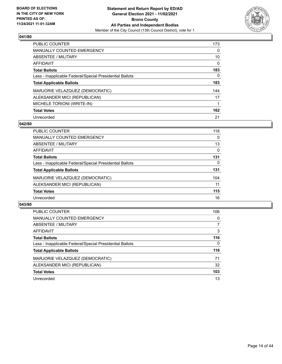

| <b>PUBLIC COUNTER</b>                                    | 173      |
|----------------------------------------------------------|----------|
| <b>MANUALLY COUNTED EMERGENCY</b>                        | $\Omega$ |
| <b>ABSENTEE / MILITARY</b>                               | 10       |
| <b>AFFIDAVIT</b>                                         | $\Omega$ |
| <b>Total Ballots</b>                                     | 183      |
| Less - Inapplicable Federal/Special Presidential Ballots | 0        |
| <b>Total Applicable Ballots</b>                          | 183      |
| MARJORIE VELAZQUEZ (DEMOCRATIC)                          | 144      |
| ALEKSANDER MICI (REPUBLICAN)                             | 17       |
| MICHELE TORIONI (WRITE-IN)                               |          |
| <b>Total Votes</b>                                       | 162      |
| Unrecorded                                               | 21       |

### **042/80**

| <b>PUBLIC COUNTER</b>                                    | 118      |
|----------------------------------------------------------|----------|
| <b>MANUALLY COUNTED EMERGENCY</b>                        | $\Omega$ |
| ABSENTEE / MILITARY                                      | 13       |
| <b>AFFIDAVIT</b>                                         | 0        |
| <b>Total Ballots</b>                                     | 131      |
| Less - Inapplicable Federal/Special Presidential Ballots | $\Omega$ |
| <b>Total Applicable Ballots</b>                          | 131      |
| MARJORIE VELAZQUEZ (DEMOCRATIC)                          | 104      |
| ALEKSANDER MICI (REPUBLICAN)                             | 11       |
| <b>Total Votes</b>                                       | 115      |
| Unrecorded                                               | 16       |

| PUBLIC COUNTER                                           | 106      |
|----------------------------------------------------------|----------|
| <b>MANUALLY COUNTED EMERGENCY</b>                        | 0        |
| ABSENTEE / MILITARY                                      | 7        |
| AFFIDAVIT                                                | 3        |
| <b>Total Ballots</b>                                     | 116      |
| Less - Inapplicable Federal/Special Presidential Ballots | $\Omega$ |
| <b>Total Applicable Ballots</b>                          | 116      |
| MARJORIE VELAZQUEZ (DEMOCRATIC)                          | 71       |
| ALEKSANDER MICI (REPUBLICAN)                             | 32       |
| <b>Total Votes</b>                                       | 103      |
| Unrecorded                                               | 13       |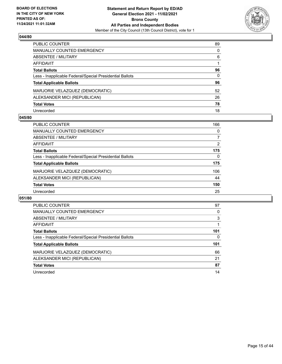

| PUBLIC COUNTER                                           | 89       |
|----------------------------------------------------------|----------|
| <b>MANUALLY COUNTED EMERGENCY</b>                        | $\Omega$ |
| <b>ABSENTEE / MILITARY</b>                               | 6        |
| <b>AFFIDAVIT</b>                                         |          |
| <b>Total Ballots</b>                                     | 96       |
| Less - Inapplicable Federal/Special Presidential Ballots | 0        |
| <b>Total Applicable Ballots</b>                          | 96       |
| MARJORIE VELAZQUEZ (DEMOCRATIC)                          | 52       |
| ALEKSANDER MICI (REPUBLICAN)                             | 26       |
| <b>Total Votes</b>                                       | 78       |
| Unrecorded                                               | 18       |

### **045/80**

| PUBLIC COUNTER                                           | 166      |
|----------------------------------------------------------|----------|
| <b>MANUALLY COUNTED EMERGENCY</b>                        | 0        |
| ABSENTEE / MILITARY                                      | 7        |
| AFFIDAVIT                                                | 2        |
| <b>Total Ballots</b>                                     | 175      |
| Less - Inapplicable Federal/Special Presidential Ballots | $\Omega$ |
| <b>Total Applicable Ballots</b>                          | 175      |
| MARJORIE VELAZQUEZ (DEMOCRATIC)                          | 106      |
| ALEKSANDER MICI (REPUBLICAN)                             | 44       |
| <b>Total Votes</b>                                       | 150      |
| Unrecorded                                               | 25       |

| <b>PUBLIC COUNTER</b>                                    | 97  |
|----------------------------------------------------------|-----|
| <b>MANUALLY COUNTED EMERGENCY</b>                        | 0   |
| <b>ABSENTEE / MILITARY</b>                               | 3   |
| AFFIDAVIT                                                |     |
| <b>Total Ballots</b>                                     | 101 |
| Less - Inapplicable Federal/Special Presidential Ballots | 0   |
| <b>Total Applicable Ballots</b>                          | 101 |
|                                                          | 66  |
| MARJORIE VELAZQUEZ (DEMOCRATIC)                          |     |
| ALEKSANDER MICI (REPUBLICAN)                             | 21  |
| <b>Total Votes</b>                                       | 87  |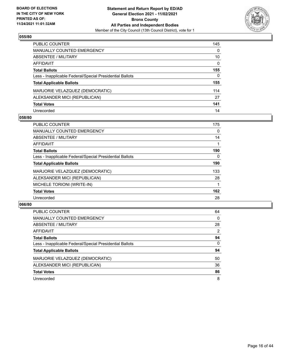

| PUBLIC COUNTER                                           | 145          |
|----------------------------------------------------------|--------------|
| <b>MANUALLY COUNTED EMERGENCY</b>                        | 0            |
| <b>ABSENTEE / MILITARY</b>                               | 10           |
| <b>AFFIDAVIT</b>                                         | $\mathbf{0}$ |
| <b>Total Ballots</b>                                     | 155          |
| Less - Inapplicable Federal/Special Presidential Ballots | $\mathbf{0}$ |
| <b>Total Applicable Ballots</b>                          | 155          |
| MARJORIE VELAZQUEZ (DEMOCRATIC)                          | 114          |
| ALEKSANDER MICI (REPUBLICAN)                             | 27           |
| <b>Total Votes</b>                                       | 141          |
| Unrecorded                                               | 14           |

### **058/80**

| <b>PUBLIC COUNTER</b>                                    | 175      |
|----------------------------------------------------------|----------|
| <b>MANUALLY COUNTED EMERGENCY</b>                        | $\Omega$ |
| ABSENTEE / MILITARY                                      | 14       |
| <b>AFFIDAVIT</b>                                         |          |
| <b>Total Ballots</b>                                     | 190      |
| Less - Inapplicable Federal/Special Presidential Ballots | $\Omega$ |
| <b>Total Applicable Ballots</b>                          | 190      |
| MARJORIE VELAZQUEZ (DEMOCRATIC)                          | 133      |
| ALEKSANDER MICI (REPUBLICAN)                             | 28       |
| MICHELE TORIONI (WRITE-IN)                               |          |
| <b>Total Votes</b>                                       | 162      |
| Unrecorded                                               | 28       |

| PUBLIC COUNTER                                           | 64       |
|----------------------------------------------------------|----------|
| <b>MANUALLY COUNTED EMERGENCY</b>                        | $\Omega$ |
| ABSENTEE / MILITARY                                      | 28       |
| AFFIDAVIT                                                | 2        |
| <b>Total Ballots</b>                                     | 94       |
| Less - Inapplicable Federal/Special Presidential Ballots | $\Omega$ |
| <b>Total Applicable Ballots</b>                          | 94       |
| MARJORIE VELAZQUEZ (DEMOCRATIC)                          | 50       |
| ALEKSANDER MICI (REPUBLICAN)                             | 36       |
| <b>Total Votes</b>                                       | 86       |
| Unrecorded                                               | 8        |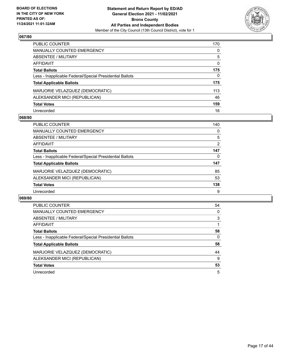

| PUBLIC COUNTER                                           | 170      |
|----------------------------------------------------------|----------|
| <b>MANUALLY COUNTED EMERGENCY</b>                        | 0        |
| ABSENTEE / MILITARY                                      | 5        |
| AFFIDAVIT                                                | $\Omega$ |
| <b>Total Ballots</b>                                     | 175      |
| Less - Inapplicable Federal/Special Presidential Ballots | 0        |
| <b>Total Applicable Ballots</b>                          | 175      |
| MARJORIE VELAZQUEZ (DEMOCRATIC)                          | 113      |
| ALEKSANDER MICI (REPUBLICAN)                             | 46       |
| <b>Total Votes</b>                                       | 159      |
| Unrecorded                                               | 16       |

### **068/80**

| <b>PUBLIC COUNTER</b>                                    | 140 |
|----------------------------------------------------------|-----|
| <b>MANUALLY COUNTED EMERGENCY</b>                        | 0   |
| ABSENTEE / MILITARY                                      | 5   |
| AFFIDAVIT                                                | 2   |
| <b>Total Ballots</b>                                     | 147 |
| Less - Inapplicable Federal/Special Presidential Ballots | 0   |
| <b>Total Applicable Ballots</b>                          | 147 |
| MARJORIE VELAZQUEZ (DEMOCRATIC)                          | 85  |
| ALEKSANDER MICI (REPUBLICAN)                             | 53  |
| <b>Total Votes</b>                                       | 138 |
| Unrecorded                                               | 9   |

| <b>PUBLIC COUNTER</b>                                    | 54       |
|----------------------------------------------------------|----------|
| <b>MANUALLY COUNTED EMERGENCY</b>                        | $\Omega$ |
| ABSENTEE / MILITARY                                      | 3        |
| AFFIDAVIT                                                |          |
| <b>Total Ballots</b>                                     | 58       |
| Less - Inapplicable Federal/Special Presidential Ballots | 0        |
| <b>Total Applicable Ballots</b>                          | 58       |
| MARJORIE VELAZQUEZ (DEMOCRATIC)                          | 44       |
| ALEKSANDER MICI (REPUBLICAN)                             | 9        |
| <b>Total Votes</b>                                       | 53       |
| Unrecorded                                               | 5        |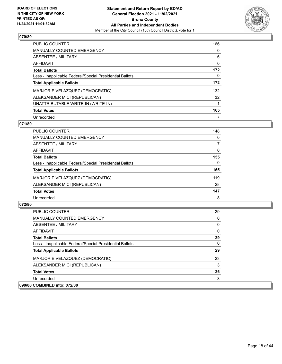

| <b>PUBLIC COUNTER</b>                                    | 166 |
|----------------------------------------------------------|-----|
| <b>MANUALLY COUNTED EMERGENCY</b>                        | 0   |
| ABSENTEE / MILITARY                                      | 6   |
| AFFIDAVIT                                                | 0   |
| <b>Total Ballots</b>                                     | 172 |
| Less - Inapplicable Federal/Special Presidential Ballots | 0   |
| <b>Total Applicable Ballots</b>                          | 172 |
| MARJORIE VELAZQUEZ (DEMOCRATIC)                          | 132 |
| ALEKSANDER MICI (REPUBLICAN)                             | 32  |
| UNATTRIBUTABLE WRITE-IN (WRITE-IN)                       |     |
| <b>Total Votes</b>                                       | 165 |
| Unrecorded                                               |     |

### **071/80**

| <b>PUBLIC COUNTER</b>                                    | 148          |
|----------------------------------------------------------|--------------|
| MANUALLY COUNTED EMERGENCY                               | 0            |
| ABSENTEE / MILITARY                                      |              |
| AFFIDAVIT                                                | 0            |
| <b>Total Ballots</b>                                     | 155          |
| Less - Inapplicable Federal/Special Presidential Ballots | $\mathbf{0}$ |
| <b>Total Applicable Ballots</b>                          | 155          |
| MARJORIE VELAZQUEZ (DEMOCRATIC)                          | 119          |
| ALEKSANDER MICI (REPUBLICAN)                             | 28           |
| <b>Total Votes</b>                                       | 147          |
| Unrecorded                                               | 8            |

| <b>PUBLIC COUNTER</b>                                    | 29 |
|----------------------------------------------------------|----|
| <b>MANUALLY COUNTED EMERGENCY</b>                        | 0  |
| ABSENTEE / MILITARY                                      | 0  |
| AFFIDAVIT                                                | 0  |
| <b>Total Ballots</b>                                     | 29 |
| Less - Inapplicable Federal/Special Presidential Ballots | 0  |
| <b>Total Applicable Ballots</b>                          | 29 |
| MARJORIE VELAZQUEZ (DEMOCRATIC)                          | 23 |
| ALEKSANDER MICI (REPUBLICAN)                             | 3  |
| <b>Total Votes</b>                                       | 26 |
| Unrecorded                                               | 3  |
| 090/80 COMBINED into: 072/80                             |    |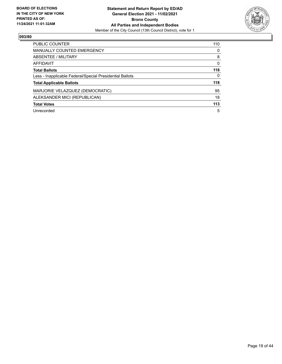

| <b>PUBLIC COUNTER</b>                                    | 110 |
|----------------------------------------------------------|-----|
| <b>MANUALLY COUNTED EMERGENCY</b>                        | 0   |
| ABSENTEE / MILITARY                                      | 8   |
| AFFIDAVIT                                                | 0   |
| <b>Total Ballots</b>                                     | 118 |
| Less - Inapplicable Federal/Special Presidential Ballots | 0   |
| <b>Total Applicable Ballots</b>                          | 118 |
| MARJORIE VELAZQUEZ (DEMOCRATIC)                          | 95  |
| ALEKSANDER MICI (REPUBLICAN)                             | 18  |
| <b>Total Votes</b>                                       | 113 |
| Unrecorded                                               | 5   |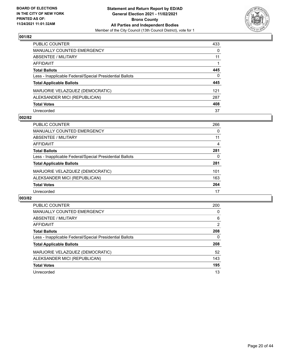

| PUBLIC COUNTER                                           | 433      |
|----------------------------------------------------------|----------|
| <b>MANUALLY COUNTED EMERGENCY</b>                        | $\Omega$ |
| <b>ABSENTEE / MILITARY</b>                               | 11       |
| <b>AFFIDAVIT</b>                                         |          |
| <b>Total Ballots</b>                                     | 445      |
| Less - Inapplicable Federal/Special Presidential Ballots | $\Omega$ |
| <b>Total Applicable Ballots</b>                          | 445      |
| MARJORIE VELAZQUEZ (DEMOCRATIC)                          | 121      |
| ALEKSANDER MICI (REPUBLICAN)                             | 287      |
| <b>Total Votes</b>                                       | 408      |
| Unrecorded                                               | 37       |

### **002/82**

| <b>PUBLIC COUNTER</b>                                    | 266 |
|----------------------------------------------------------|-----|
| MANUALLY COUNTED EMERGENCY                               | 0   |
| ABSENTEE / MILITARY                                      | 11  |
| AFFIDAVIT                                                | 4   |
| <b>Total Ballots</b>                                     | 281 |
| Less - Inapplicable Federal/Special Presidential Ballots | 0   |
| <b>Total Applicable Ballots</b>                          | 281 |
| MARJORIE VELAZQUEZ (DEMOCRATIC)                          | 101 |
| ALEKSANDER MICI (REPUBLICAN)                             | 163 |
| <b>Total Votes</b>                                       | 264 |
| Unrecorded                                               | 17  |

| <b>PUBLIC COUNTER</b>                                    | 200 |
|----------------------------------------------------------|-----|
| <b>MANUALLY COUNTED EMERGENCY</b>                        | 0   |
| ABSENTEE / MILITARY                                      | 6   |
| <b>AFFIDAVIT</b>                                         | 2   |
| <b>Total Ballots</b>                                     | 208 |
| Less - Inapplicable Federal/Special Presidential Ballots | 0   |
| <b>Total Applicable Ballots</b>                          | 208 |
| MARJORIE VELAZQUEZ (DEMOCRATIC)                          | 52  |
| ALEKSANDER MICI (REPUBLICAN)                             | 143 |
| <b>Total Votes</b>                                       | 195 |
| Unrecorded                                               | 13  |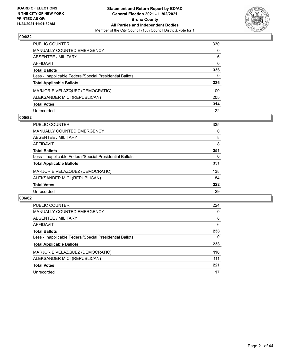

| PUBLIC COUNTER                                           | 330          |
|----------------------------------------------------------|--------------|
| <b>MANUALLY COUNTED EMERGENCY</b>                        | $\Omega$     |
| <b>ABSENTEE / MILITARY</b>                               | 6            |
| <b>AFFIDAVIT</b>                                         | $\mathbf{0}$ |
| <b>Total Ballots</b>                                     | 336          |
| Less - Inapplicable Federal/Special Presidential Ballots | 0            |
| <b>Total Applicable Ballots</b>                          | 336          |
| MARJORIE VELAZQUEZ (DEMOCRATIC)                          | 109          |
| ALEKSANDER MICI (REPUBLICAN)                             | 205          |
| <b>Total Votes</b>                                       | 314          |
| Unrecorded                                               | 22           |

### **005/82**

| <b>PUBLIC COUNTER</b>                                    | 335 |
|----------------------------------------------------------|-----|
| <b>MANUALLY COUNTED EMERGENCY</b>                        | 0   |
| ABSENTEE / MILITARY                                      | 8   |
| AFFIDAVIT                                                | 8   |
| <b>Total Ballots</b>                                     | 351 |
| Less - Inapplicable Federal/Special Presidential Ballots | 0   |
| <b>Total Applicable Ballots</b>                          | 351 |
| MARJORIE VELAZQUEZ (DEMOCRATIC)                          | 138 |
| ALEKSANDER MICI (REPUBLICAN)                             | 184 |
| <b>Total Votes</b>                                       | 322 |
| Unrecorded                                               | 29  |

| <b>PUBLIC COUNTER</b>                                    | 224 |
|----------------------------------------------------------|-----|
| <b>MANUALLY COUNTED EMERGENCY</b>                        | 0   |
| ABSENTEE / MILITARY                                      | 8   |
| <b>AFFIDAVIT</b>                                         | 6   |
| <b>Total Ballots</b>                                     | 238 |
| Less - Inapplicable Federal/Special Presidential Ballots | 0   |
| <b>Total Applicable Ballots</b>                          | 238 |
| MARJORIE VELAZQUEZ (DEMOCRATIC)                          | 110 |
| ALEKSANDER MICI (REPUBLICAN)                             | 111 |
| <b>Total Votes</b>                                       | 221 |
| Unrecorded                                               | 17  |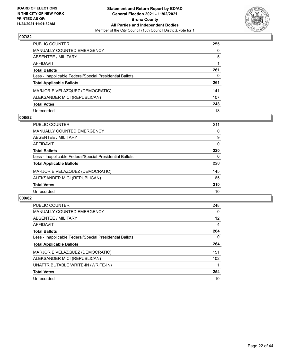

| PUBLIC COUNTER                                           | 255      |
|----------------------------------------------------------|----------|
| <b>MANUALLY COUNTED EMERGENCY</b>                        | $\Omega$ |
| <b>ABSENTEE / MILITARY</b>                               | 5        |
| AFFIDAVIT                                                |          |
| <b>Total Ballots</b>                                     | 261      |
| Less - Inapplicable Federal/Special Presidential Ballots | 0        |
| <b>Total Applicable Ballots</b>                          | 261      |
| MARJORIE VELAZQUEZ (DEMOCRATIC)                          | 141      |
| ALEKSANDER MICI (REPUBLICAN)                             | 107      |
| <b>Total Votes</b>                                       | 248      |
| Unrecorded                                               | 13       |

### **008/82**

| <b>PUBLIC COUNTER</b>                                    | 211      |
|----------------------------------------------------------|----------|
| <b>MANUALLY COUNTED EMERGENCY</b>                        | 0        |
| ABSENTEE / MILITARY                                      | 9        |
| AFFIDAVIT                                                | $\Omega$ |
| <b>Total Ballots</b>                                     | 220      |
| Less - Inapplicable Federal/Special Presidential Ballots | 0        |
| <b>Total Applicable Ballots</b>                          | 220      |
| MARJORIE VELAZQUEZ (DEMOCRATIC)                          | 145      |
| ALEKSANDER MICI (REPUBLICAN)                             | 65       |
| <b>Total Votes</b>                                       | 210      |
| Unrecorded                                               | 10       |

| <b>PUBLIC COUNTER</b>                                    | 248 |
|----------------------------------------------------------|-----|
| <b>MANUALLY COUNTED EMERGENCY</b>                        | 0   |
| ABSENTEE / MILITARY                                      | 12  |
| AFFIDAVIT                                                | 4   |
| <b>Total Ballots</b>                                     | 264 |
| Less - Inapplicable Federal/Special Presidential Ballots | 0   |
| <b>Total Applicable Ballots</b>                          | 264 |
| MARJORIE VELAZQUEZ (DEMOCRATIC)                          | 151 |
| ALEKSANDER MICI (REPUBLICAN)                             | 102 |
| UNATTRIBUTABLE WRITE-IN (WRITE-IN)                       |     |
| <b>Total Votes</b>                                       | 254 |
|                                                          |     |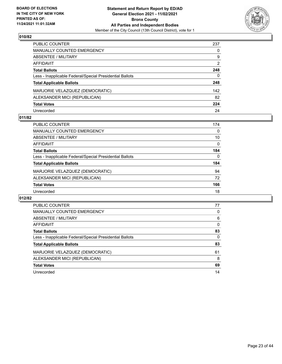

| PUBLIC COUNTER                                           | 237           |
|----------------------------------------------------------|---------------|
| <b>MANUALLY COUNTED EMERGENCY</b>                        | 0             |
| ABSENTEE / MILITARY                                      | 9             |
| <b>AFFIDAVIT</b>                                         | $\mathcal{P}$ |
| <b>Total Ballots</b>                                     | 248           |
| Less - Inapplicable Federal/Special Presidential Ballots | 0             |
| <b>Total Applicable Ballots</b>                          | 248           |
| MARJORIE VELAZQUEZ (DEMOCRATIC)                          | 142           |
| ALEKSANDER MICI (REPUBLICAN)                             | 82            |
| <b>Total Votes</b>                                       | 224           |
| Unrecorded                                               | 24            |

### **011/82**

| <b>PUBLIC COUNTER</b>                                    | 174      |
|----------------------------------------------------------|----------|
| <b>MANUALLY COUNTED EMERGENCY</b>                        | 0        |
| ABSENTEE / MILITARY                                      | 10       |
| AFFIDAVIT                                                | $\Omega$ |
| <b>Total Ballots</b>                                     | 184      |
| Less - Inapplicable Federal/Special Presidential Ballots | $\Omega$ |
| <b>Total Applicable Ballots</b>                          | 184      |
| MARJORIE VELAZQUEZ (DEMOCRATIC)                          | 94       |
| ALEKSANDER MICI (REPUBLICAN)                             | 72       |
| <b>Total Votes</b>                                       | 166      |
| Unrecorded                                               | 18       |

| <b>PUBLIC COUNTER</b>                                    | 77       |
|----------------------------------------------------------|----------|
| <b>MANUALLY COUNTED EMERGENCY</b>                        | 0        |
| ABSENTEE / MILITARY                                      | 6        |
| AFFIDAVIT                                                | $\Omega$ |
| <b>Total Ballots</b>                                     | 83       |
| Less - Inapplicable Federal/Special Presidential Ballots | $\Omega$ |
| <b>Total Applicable Ballots</b>                          | 83       |
| MARJORIE VELAZQUEZ (DEMOCRATIC)                          | 61       |
| ALEKSANDER MICI (REPUBLICAN)                             | 8        |
| <b>Total Votes</b>                                       | 69       |
| Unrecorded                                               | 14       |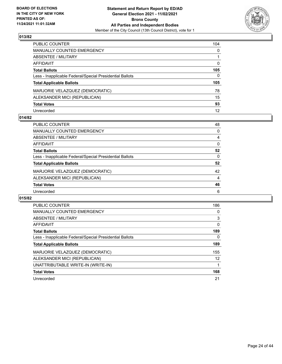

| PUBLIC COUNTER                                           | 104          |
|----------------------------------------------------------|--------------|
| MANUALLY COUNTED EMERGENCY                               | $\mathbf{0}$ |
| ABSENTEE / MILITARY                                      |              |
| AFFIDAVIT                                                | 0            |
| Total Ballots                                            | 105          |
| Less - Inapplicable Federal/Special Presidential Ballots | $\Omega$     |
| <b>Total Applicable Ballots</b>                          | 105          |
| MARJORIE VELAZQUEZ (DEMOCRATIC)                          | 78           |
| ALEKSANDER MICI (REPUBLICAN)                             | 15           |
| <b>Total Votes</b>                                       | 93           |
| Unrecorded                                               | 12           |

### **014/82**

| <b>PUBLIC COUNTER</b>                                    | 48             |
|----------------------------------------------------------|----------------|
| <b>MANUALLY COUNTED EMERGENCY</b>                        | 0              |
| ABSENTEE / MILITARY                                      | 4              |
| AFFIDAVIT                                                | $\Omega$       |
| <b>Total Ballots</b>                                     | 52             |
| Less - Inapplicable Federal/Special Presidential Ballots | 0              |
| <b>Total Applicable Ballots</b>                          | 52             |
| MARJORIE VELAZQUEZ (DEMOCRATIC)                          | 42             |
| ALEKSANDER MICI (REPUBLICAN)                             | $\overline{4}$ |
| <b>Total Votes</b>                                       | 46             |
| Unrecorded                                               | 6              |

| <b>PUBLIC COUNTER</b>                                    | 186      |
|----------------------------------------------------------|----------|
| <b>MANUALLY COUNTED EMERGENCY</b>                        | 0        |
| ABSENTEE / MILITARY                                      | 3        |
| <b>AFFIDAVIT</b>                                         | $\Omega$ |
| <b>Total Ballots</b>                                     | 189      |
| Less - Inapplicable Federal/Special Presidential Ballots | 0        |
| <b>Total Applicable Ballots</b>                          | 189      |
| MARJORIE VELAZQUEZ (DEMOCRATIC)                          | 155      |
| ALEKSANDER MICI (REPUBLICAN)                             | 12       |
| UNATTRIBUTABLE WRITE-IN (WRITE-IN)                       |          |
| <b>Total Votes</b>                                       | 168      |
| Unrecorded                                               | 21       |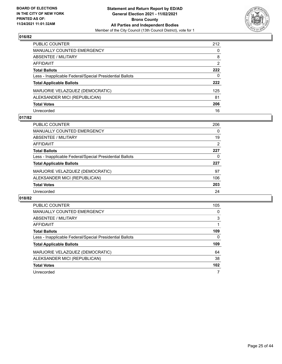

| PUBLIC COUNTER                                           | 212 |
|----------------------------------------------------------|-----|
| <b>MANUALLY COUNTED EMERGENCY</b>                        | 0   |
| ABSENTEE / MILITARY                                      | 8   |
| AFFIDAVIT                                                | 2   |
| <b>Total Ballots</b>                                     | 222 |
| Less - Inapplicable Federal/Special Presidential Ballots | 0   |
| <b>Total Applicable Ballots</b>                          | 222 |
| MARJORIE VELAZQUEZ (DEMOCRATIC)                          | 125 |
| ALEKSANDER MICI (REPUBLICAN)                             | 81  |
| <b>Total Votes</b>                                       | 206 |
| Unrecorded                                               | 16  |

# **017/82**

| PUBLIC COUNTER                                           | 206 |
|----------------------------------------------------------|-----|
| <b>MANUALLY COUNTED EMERGENCY</b>                        | 0   |
| ABSENTEE / MILITARY                                      | 19  |
| AFFIDAVIT                                                | 2   |
| <b>Total Ballots</b>                                     | 227 |
| Less - Inapplicable Federal/Special Presidential Ballots | 0   |
| <b>Total Applicable Ballots</b>                          | 227 |
| MARJORIE VELAZQUEZ (DEMOCRATIC)                          | 97  |
| ALEKSANDER MICI (REPUBLICAN)                             | 106 |
| <b>Total Votes</b>                                       | 203 |
| Unrecorded                                               | 24  |

| <b>PUBLIC COUNTER</b>                                    | 105 |
|----------------------------------------------------------|-----|
| <b>MANUALLY COUNTED EMERGENCY</b>                        | 0   |
| ABSENTEE / MILITARY                                      | 3   |
| AFFIDAVIT                                                |     |
| <b>Total Ballots</b>                                     | 109 |
| Less - Inapplicable Federal/Special Presidential Ballots | 0   |
| <b>Total Applicable Ballots</b>                          | 109 |
| MARJORIE VELAZQUEZ (DEMOCRATIC)                          | 64  |
| ALEKSANDER MICI (REPUBLICAN)                             | 38  |
| <b>Total Votes</b>                                       | 102 |
| Unrecorded                                               |     |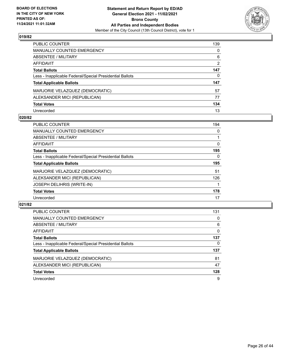

| PUBLIC COUNTER                                           | 139           |
|----------------------------------------------------------|---------------|
| <b>MANUALLY COUNTED EMERGENCY</b>                        | 0             |
| <b>ABSENTEE / MILITARY</b>                               | 6             |
| AFFIDAVIT                                                | $\mathcal{P}$ |
| <b>Total Ballots</b>                                     | 147           |
| Less - Inapplicable Federal/Special Presidential Ballots | 0             |
| <b>Total Applicable Ballots</b>                          | 147           |
| MARJORIE VELAZQUEZ (DEMOCRATIC)                          | 57            |
| ALEKSANDER MICI (REPUBLICAN)                             | 77            |
| <b>Total Votes</b>                                       | 134           |
| Unrecorded                                               | 13            |

### **020/82**

| <b>PUBLIC COUNTER</b>                                    | 194 |
|----------------------------------------------------------|-----|
| MANUALLY COUNTED EMERGENCY                               | 0   |
| ABSENTEE / MILITARY                                      |     |
| AFFIDAVIT                                                | 0   |
| <b>Total Ballots</b>                                     | 195 |
| Less - Inapplicable Federal/Special Presidential Ballots | 0   |
| <b>Total Applicable Ballots</b>                          | 195 |
| MARJORIE VELAZQUEZ (DEMOCRATIC)                          | 51  |
| ALEKSANDER MICI (REPUBLICAN)                             | 126 |
| JOSEPH DELIHRIS (WRITE-IN)                               |     |
| <b>Total Votes</b>                                       | 178 |
| Unrecorded                                               | 17  |

| <b>PUBLIC COUNTER</b>                                    | 131      |
|----------------------------------------------------------|----------|
| MANUALLY COUNTED EMERGENCY                               | 0        |
| ABSENTEE / MILITARY                                      | 6        |
| AFFIDAVIT                                                | $\Omega$ |
| <b>Total Ballots</b>                                     | 137      |
| Less - Inapplicable Federal/Special Presidential Ballots | 0        |
| <b>Total Applicable Ballots</b>                          | 137      |
| MARJORIE VELAZQUEZ (DEMOCRATIC)                          | 81       |
| ALEKSANDER MICI (REPUBLICAN)                             | 47       |
| <b>Total Votes</b>                                       | 128      |
| Unrecorded                                               | 9        |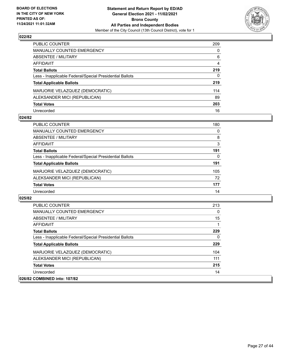

| PUBLIC COUNTER                                           | 209          |
|----------------------------------------------------------|--------------|
| <b>MANUALLY COUNTED EMERGENCY</b>                        | $\Omega$     |
| <b>ABSENTEE / MILITARY</b>                               | 6            |
| AFFIDAVIT                                                | 4            |
| <b>Total Ballots</b>                                     | 219          |
| Less - Inapplicable Federal/Special Presidential Ballots | $\mathbf{0}$ |
| <b>Total Applicable Ballots</b>                          | 219          |
| MARJORIE VELAZQUEZ (DEMOCRATIC)                          | 114          |
| ALEKSANDER MICI (REPUBLICAN)                             | 89           |
| <b>Total Votes</b>                                       | 203          |
| Unrecorded                                               | 16           |

### **024/82**

| <b>PUBLIC COUNTER</b>                                    | 180      |
|----------------------------------------------------------|----------|
| <b>MANUALLY COUNTED EMERGENCY</b>                        | $\Omega$ |
| <b>ABSENTEE / MILITARY</b>                               | 8        |
| AFFIDAVIT                                                | 3        |
| <b>Total Ballots</b>                                     | 191      |
| Less - Inapplicable Federal/Special Presidential Ballots | 0        |
| <b>Total Applicable Ballots</b>                          | 191      |
| MARJORIE VELAZQUEZ (DEMOCRATIC)                          | 105      |
| ALEKSANDER MICI (REPUBLICAN)                             | 72       |
| <b>Total Votes</b>                                       | 177      |
| Unrecorded                                               | 14       |

| <b>PUBLIC COUNTER</b>                                    | 213      |
|----------------------------------------------------------|----------|
| <b>MANUALLY COUNTED EMERGENCY</b>                        | $\Omega$ |
| ABSENTEE / MILITARY                                      | 15       |
| AFFIDAVIT                                                |          |
| <b>Total Ballots</b>                                     | 229      |
| Less - Inapplicable Federal/Special Presidential Ballots | 0        |
| <b>Total Applicable Ballots</b>                          | 229      |
| MARJORIE VELAZQUEZ (DEMOCRATIC)                          | 104      |
| ALEKSANDER MICI (REPUBLICAN)                             | 111      |
| <b>Total Votes</b>                                       | 215      |
| Unrecorded                                               | 14       |
| 026/82 COMBINED into: 107/82                             |          |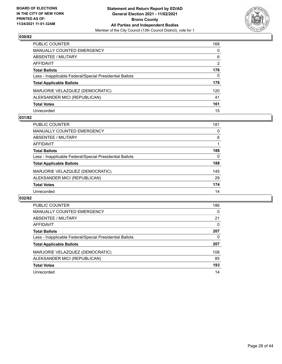

| PUBLIC COUNTER                                           | 168           |
|----------------------------------------------------------|---------------|
| <b>MANUALLY COUNTED EMERGENCY</b>                        | 0             |
| <b>ABSENTEE / MILITARY</b>                               | 6             |
| AFFIDAVIT                                                | $\mathcal{P}$ |
| <b>Total Ballots</b>                                     | 176           |
| Less - Inapplicable Federal/Special Presidential Ballots | 0             |
| <b>Total Applicable Ballots</b>                          | 176           |
| MARJORIE VELAZQUEZ (DEMOCRATIC)                          | 120           |
| ALEKSANDER MICI (REPUBLICAN)                             | 41            |
| <b>Total Votes</b>                                       | 161           |
| Unrecorded                                               | 15            |

### **031/82**

| PUBLIC COUNTER                                           | 181 |
|----------------------------------------------------------|-----|
| <b>MANUALLY COUNTED EMERGENCY</b>                        | 0   |
| ABSENTEE / MILITARY                                      | 6   |
| AFFIDAVIT                                                |     |
| <b>Total Ballots</b>                                     | 188 |
| Less - Inapplicable Federal/Special Presidential Ballots | 0   |
| <b>Total Applicable Ballots</b>                          | 188 |
| MARJORIE VELAZQUEZ (DEMOCRATIC)                          | 145 |
| ALEKSANDER MICI (REPUBLICAN)                             | 29  |
| <b>Total Votes</b>                                       | 174 |
| Unrecorded                                               | 14  |

| <b>PUBLIC COUNTER</b>                                    | 186      |
|----------------------------------------------------------|----------|
| <b>MANUALLY COUNTED EMERGENCY</b>                        | $\Omega$ |
| ABSENTEE / MILITARY                                      | 21       |
| AFFIDAVIT                                                | 0        |
| <b>Total Ballots</b>                                     | 207      |
| Less - Inapplicable Federal/Special Presidential Ballots | 0        |
| <b>Total Applicable Ballots</b>                          | 207      |
| MARJORIE VELAZQUEZ (DEMOCRATIC)                          | 108      |
| ALEKSANDER MICI (REPUBLICAN)                             | 85       |
| <b>Total Votes</b>                                       | 193      |
| Unrecorded                                               | 14       |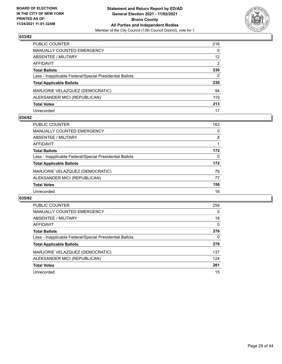

| PUBLIC COUNTER                                           | 216               |
|----------------------------------------------------------|-------------------|
| <b>MANUALLY COUNTED EMERGENCY</b>                        | 0                 |
| <b>ABSENTEE / MILITARY</b>                               | $12 \overline{ }$ |
| AFFIDAVIT                                                | $\mathcal{P}$     |
| <b>Total Ballots</b>                                     | 230               |
| Less - Inapplicable Federal/Special Presidential Ballots | 0                 |
| <b>Total Applicable Ballots</b>                          | 230               |
| MARJORIE VELAZQUEZ (DEMOCRATIC)                          | 94                |
| ALEKSANDER MICI (REPUBLICAN)                             | 119               |
| <b>Total Votes</b>                                       | 213               |
| Unrecorded                                               | 17                |

### **034/82**

| <b>PUBLIC COUNTER</b>                                    | 163      |
|----------------------------------------------------------|----------|
| <b>MANUALLY COUNTED EMERGENCY</b>                        | $\Omega$ |
| ABSENTEE / MILITARY                                      | 8        |
| AFFIDAVIT                                                |          |
| <b>Total Ballots</b>                                     | 172      |
| Less - Inapplicable Federal/Special Presidential Ballots | $\Omega$ |
| <b>Total Applicable Ballots</b>                          | 172      |
| MARJORIE VELAZQUEZ (DEMOCRATIC)                          | 79       |
| ALEKSANDER MICI (REPUBLICAN)                             | 77       |
| <b>Total Votes</b>                                       | 156      |
| Unrecorded                                               | 16       |

| <b>PUBLIC COUNTER</b>                                    | 258      |
|----------------------------------------------------------|----------|
| <b>MANUALLY COUNTED EMERGENCY</b>                        | 0        |
| ABSENTEE / MILITARY                                      | 18       |
| <b>AFFIDAVIT</b>                                         | $\Omega$ |
| <b>Total Ballots</b>                                     | 276      |
| Less - Inapplicable Federal/Special Presidential Ballots | 0        |
| <b>Total Applicable Ballots</b>                          | 276      |
| MARJORIE VELAZQUEZ (DEMOCRATIC)                          | 137      |
| ALEKSANDER MICI (REPUBLICAN)                             | 124      |
| <b>Total Votes</b>                                       | 261      |
| Unrecorded                                               | 15       |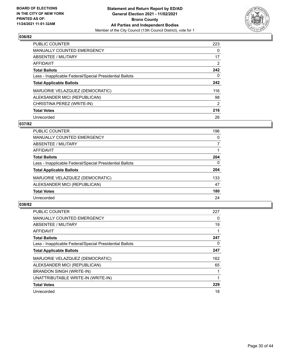

| <b>PUBLIC COUNTER</b>                                    | 223            |
|----------------------------------------------------------|----------------|
| <b>MANUALLY COUNTED EMERGENCY</b>                        | 0              |
| ABSENTEE / MILITARY                                      | 17             |
| AFFIDAVIT                                                | 2              |
| <b>Total Ballots</b>                                     | 242            |
| Less - Inapplicable Federal/Special Presidential Ballots | 0              |
| <b>Total Applicable Ballots</b>                          | 242            |
| MARJORIE VELAZQUEZ (DEMOCRATIC)                          | 116            |
| ALEKSANDER MICI (REPUBLICAN)                             | 98             |
| CHRISTINA PEREZ (WRITE-IN)                               | $\overline{2}$ |
| <b>Total Votes</b>                                       | 216            |
| Unrecorded                                               | 26             |

### **037/82**

| <b>PUBLIC COUNTER</b>                                    | 196 |
|----------------------------------------------------------|-----|
| <b>MANUALLY COUNTED EMERGENCY</b>                        | 0   |
| ABSENTEE / MILITARY                                      | 7   |
| <b>AFFIDAVIT</b>                                         |     |
| <b>Total Ballots</b>                                     | 204 |
| Less - Inapplicable Federal/Special Presidential Ballots | 0   |
| <b>Total Applicable Ballots</b>                          | 204 |
| MARJORIE VELAZQUEZ (DEMOCRATIC)                          | 133 |
| ALEKSANDER MICI (REPUBLICAN)                             | 47  |
| <b>Total Votes</b>                                       | 180 |
| Unrecorded                                               | 24  |

| <b>PUBLIC COUNTER</b>                                    | 227 |
|----------------------------------------------------------|-----|
| <b>MANUALLY COUNTED EMERGENCY</b>                        | 0   |
| ABSENTEE / MILITARY                                      | 19  |
| <b>AFFIDAVIT</b>                                         |     |
| <b>Total Ballots</b>                                     | 247 |
| Less - Inapplicable Federal/Special Presidential Ballots | 0   |
| <b>Total Applicable Ballots</b>                          | 247 |
| MARJORIE VELAZQUEZ (DEMOCRATIC)                          | 162 |
| ALEKSANDER MICI (REPUBLICAN)                             | 65  |
| <b>BRANDON SINGH (WRITE-IN)</b>                          |     |
| UNATTRIBUTABLE WRITE-IN (WRITE-IN)                       |     |
| <b>Total Votes</b>                                       | 229 |
| Unrecorded                                               | 18  |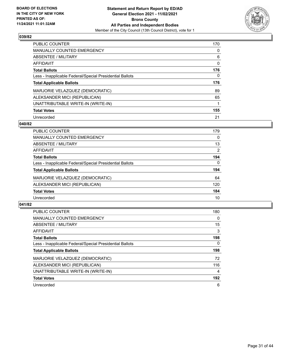

| <b>PUBLIC COUNTER</b>                                    | 170      |
|----------------------------------------------------------|----------|
| MANUALLY COUNTED EMERGENCY                               | $\Omega$ |
| ABSENTEE / MILITARY                                      | 6        |
| AFFIDAVIT                                                | 0        |
| <b>Total Ballots</b>                                     | 176      |
| Less - Inapplicable Federal/Special Presidential Ballots | 0        |
| <b>Total Applicable Ballots</b>                          | 176      |
| MARJORIE VELAZQUEZ (DEMOCRATIC)                          | 89       |
| ALEKSANDER MICI (REPUBLICAN)                             | 65       |
|                                                          |          |
| UNATTRIBUTABLE WRITE-IN (WRITE-IN)                       |          |
| <b>Total Votes</b>                                       | 155      |

### **040/82**

| <b>PUBLIC COUNTER</b>                                    | 179 |
|----------------------------------------------------------|-----|
| <b>MANUALLY COUNTED EMERGENCY</b>                        | 0   |
| ABSENTEE / MILITARY                                      | 13  |
| AFFIDAVIT                                                | 2   |
| <b>Total Ballots</b>                                     | 194 |
| Less - Inapplicable Federal/Special Presidential Ballots | 0   |
| <b>Total Applicable Ballots</b>                          | 194 |
| MARJORIE VELAZQUEZ (DEMOCRATIC)                          | 64  |
| ALEKSANDER MICI (REPUBLICAN)                             | 120 |
| <b>Total Votes</b>                                       | 184 |
| Unrecorded                                               | 10  |

| <b>PUBLIC COUNTER</b>                                    | 180      |
|----------------------------------------------------------|----------|
| <b>MANUALLY COUNTED EMERGENCY</b>                        | $\Omega$ |
| ABSENTEE / MILITARY                                      | 15       |
| <b>AFFIDAVIT</b>                                         | 3        |
| <b>Total Ballots</b>                                     | 198      |
| Less - Inapplicable Federal/Special Presidential Ballots | $\Omega$ |
| <b>Total Applicable Ballots</b>                          | 198      |
| MARJORIE VELAZQUEZ (DEMOCRATIC)                          | 72       |
| ALEKSANDER MICI (REPUBLICAN)                             | 116      |
| UNATTRIBUTABLE WRITE-IN (WRITE-IN)                       | 4        |
| <b>Total Votes</b>                                       | 192      |
| Unrecorded                                               | 6        |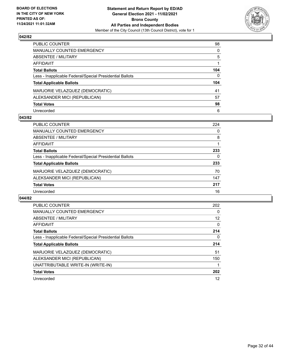

| PUBLIC COUNTER                                           | 98       |
|----------------------------------------------------------|----------|
| <b>MANUALLY COUNTED EMERGENCY</b>                        | 0        |
| ABSENTEE / MILITARY                                      | 5        |
| AFFIDAVIT                                                |          |
| <b>Total Ballots</b>                                     | 104      |
| Less - Inapplicable Federal/Special Presidential Ballots | $\Omega$ |
| <b>Total Applicable Ballots</b>                          | 104      |
| MARJORIE VELAZQUEZ (DEMOCRATIC)                          | 41       |
| ALEKSANDER MICI (REPUBLICAN)                             | 57       |
| <b>Total Votes</b>                                       | 98       |
| Unrecorded                                               | 6        |

### **043/82**

| <b>PUBLIC COUNTER</b>                                    | 224 |
|----------------------------------------------------------|-----|
| <b>MANUALLY COUNTED EMERGENCY</b>                        | 0   |
| ABSENTEE / MILITARY                                      | 8   |
| AFFIDAVIT                                                |     |
| <b>Total Ballots</b>                                     | 233 |
| Less - Inapplicable Federal/Special Presidential Ballots | 0   |
| <b>Total Applicable Ballots</b>                          | 233 |
| MARJORIE VELAZQUEZ (DEMOCRATIC)                          | 70  |
| ALEKSANDER MICI (REPUBLICAN)                             | 147 |
| <b>Total Votes</b>                                       | 217 |
| Unrecorded                                               | 16  |

| PUBLIC COUNTER                                           | 202 |
|----------------------------------------------------------|-----|
| MANUALLY COUNTED EMERGENCY                               | 0   |
| ABSENTEE / MILITARY                                      | 12  |
| AFFIDAVIT                                                | 0   |
| <b>Total Ballots</b>                                     | 214 |
| Less - Inapplicable Federal/Special Presidential Ballots | 0   |
| <b>Total Applicable Ballots</b>                          | 214 |
| MARJORIE VELAZQUEZ (DEMOCRATIC)                          | 51  |
| ALEKSANDER MICI (REPUBLICAN)                             | 150 |
| UNATTRIBUTABLE WRITE-IN (WRITE-IN)                       |     |
|                                                          |     |
| <b>Total Votes</b>                                       | 202 |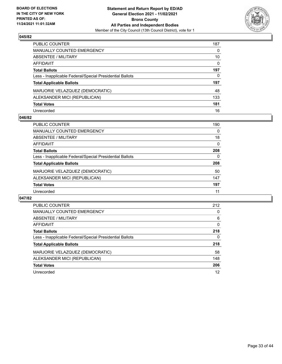

| PUBLIC COUNTER                                           | 187          |
|----------------------------------------------------------|--------------|
| <b>MANUALLY COUNTED EMERGENCY</b>                        | $\mathbf{0}$ |
| <b>ABSENTEE / MILITARY</b>                               | 10           |
| AFFIDAVIT                                                | $\Omega$     |
| <b>Total Ballots</b>                                     | 197          |
| Less - Inapplicable Federal/Special Presidential Ballots | 0            |
| <b>Total Applicable Ballots</b>                          | 197          |
| MARJORIE VELAZQUEZ (DEMOCRATIC)                          | 48           |
| ALEKSANDER MICI (REPUBLICAN)                             | 133          |
| <b>Total Votes</b>                                       | 181          |
| Unrecorded                                               | 16           |

### **046/82**

| <b>PUBLIC COUNTER</b>                                    | 190      |
|----------------------------------------------------------|----------|
| <b>MANUALLY COUNTED EMERGENCY</b>                        | $\Omega$ |
| ABSENTEE / MILITARY                                      | 18       |
| AFFIDAVIT                                                | $\Omega$ |
| <b>Total Ballots</b>                                     | 208      |
| Less - Inapplicable Federal/Special Presidential Ballots | 0        |
| <b>Total Applicable Ballots</b>                          | 208      |
| MARJORIE VELAZQUEZ (DEMOCRATIC)                          | 50       |
| ALEKSANDER MICI (REPUBLICAN)                             | 147      |
| <b>Total Votes</b>                                       | 197      |
| Unrecorded                                               | 11       |

| <b>PUBLIC COUNTER</b>                                    | 212      |
|----------------------------------------------------------|----------|
| <b>MANUALLY COUNTED EMERGENCY</b>                        | 0        |
| ABSENTEE / MILITARY                                      | 6        |
| <b>AFFIDAVIT</b>                                         | $\Omega$ |
| <b>Total Ballots</b>                                     | 218      |
| Less - Inapplicable Federal/Special Presidential Ballots | 0        |
| <b>Total Applicable Ballots</b>                          | 218      |
| MARJORIE VELAZQUEZ (DEMOCRATIC)                          | 58       |
| ALEKSANDER MICI (REPUBLICAN)                             | 148      |
| <b>Total Votes</b>                                       | 206      |
| Unrecorded                                               | 12       |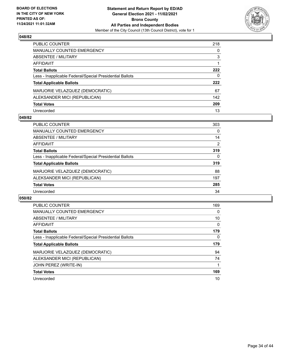

| PUBLIC COUNTER                                           | 218 |
|----------------------------------------------------------|-----|
| <b>MANUALLY COUNTED EMERGENCY</b>                        | 0   |
| <b>ABSENTEE / MILITARY</b>                               | 3   |
| AFFIDAVIT                                                |     |
| <b>Total Ballots</b>                                     | 222 |
| Less - Inapplicable Federal/Special Presidential Ballots | 0   |
| <b>Total Applicable Ballots</b>                          | 222 |
| MARJORIE VELAZQUEZ (DEMOCRATIC)                          | 67  |
| ALEKSANDER MICI (REPUBLICAN)                             | 142 |
| <b>Total Votes</b>                                       | 209 |
| Unrecorded                                               | 13  |

### **049/82**

| <b>PUBLIC COUNTER</b>                                    | 303 |
|----------------------------------------------------------|-----|
| <b>MANUALLY COUNTED EMERGENCY</b>                        | 0   |
| ABSENTEE / MILITARY                                      | 14  |
| AFFIDAVIT                                                | 2   |
| <b>Total Ballots</b>                                     | 319 |
| Less - Inapplicable Federal/Special Presidential Ballots | 0   |
| <b>Total Applicable Ballots</b>                          | 319 |
| MARJORIE VELAZQUEZ (DEMOCRATIC)                          | 88  |
| ALEKSANDER MICI (REPUBLICAN)                             | 197 |
| <b>Total Votes</b>                                       | 285 |
| Unrecorded                                               | 34  |

| <b>PUBLIC COUNTER</b>                                    | 169 |
|----------------------------------------------------------|-----|
| <b>MANUALLY COUNTED EMERGENCY</b>                        | 0   |
| ABSENTEE / MILITARY                                      | 10  |
| <b>AFFIDAVIT</b>                                         | 0   |
| <b>Total Ballots</b>                                     | 179 |
| Less - Inapplicable Federal/Special Presidential Ballots | 0   |
| <b>Total Applicable Ballots</b>                          | 179 |
| MARJORIE VELAZQUEZ (DEMOCRATIC)                          | 94  |
| ALEKSANDER MICI (REPUBLICAN)                             | 74  |
| JOHN PEREZ (WRITE-IN)                                    |     |
| <b>Total Votes</b>                                       | 169 |
| Unrecorded                                               | 10  |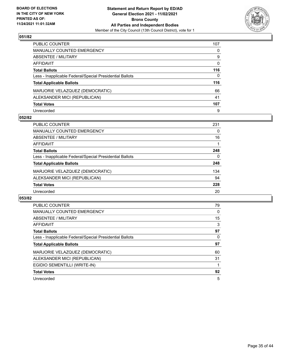

| PUBLIC COUNTER                                           | 107 |
|----------------------------------------------------------|-----|
| <b>MANUALLY COUNTED EMERGENCY</b>                        | 0   |
| ABSENTEE / MILITARY                                      | 9   |
| AFFIDAVIT                                                | 0   |
| <b>Total Ballots</b>                                     | 116 |
| Less - Inapplicable Federal/Special Presidential Ballots | 0   |
| <b>Total Applicable Ballots</b>                          | 116 |
| MARJORIE VELAZQUEZ (DEMOCRATIC)                          | 66  |
| ALEKSANDER MICI (REPUBLICAN)                             | 41  |
| <b>Total Votes</b>                                       | 107 |
| Unrecorded                                               | 9   |

### **052/82**

| <b>PUBLIC COUNTER</b>                                    | 231 |
|----------------------------------------------------------|-----|
| <b>MANUALLY COUNTED EMERGENCY</b>                        | 0   |
| ABSENTEE / MILITARY                                      | 16  |
| AFFIDAVIT                                                |     |
| <b>Total Ballots</b>                                     | 248 |
| Less - Inapplicable Federal/Special Presidential Ballots | 0   |
| <b>Total Applicable Ballots</b>                          | 248 |
| MARJORIE VELAZQUEZ (DEMOCRATIC)                          | 134 |
| ALEKSANDER MICI (REPUBLICAN)                             | 94  |
| <b>Total Votes</b>                                       | 228 |
| Unrecorded                                               | 20  |

| <b>PUBLIC COUNTER</b>                                    | 79 |
|----------------------------------------------------------|----|
| <b>MANUALLY COUNTED EMERGENCY</b>                        | 0  |
| ABSENTEE / MILITARY                                      | 15 |
| AFFIDAVIT                                                | 3  |
| <b>Total Ballots</b>                                     | 97 |
| Less - Inapplicable Federal/Special Presidential Ballots | 0  |
|                                                          |    |
| <b>Total Applicable Ballots</b>                          | 97 |
| MARJORIE VELAZQUEZ (DEMOCRATIC)                          | 60 |
| ALEKSANDER MICI (REPUBLICAN)                             | 31 |
| EGIDIO SEMENTILLI (WRITE-IN)                             |    |
| <b>Total Votes</b>                                       | 92 |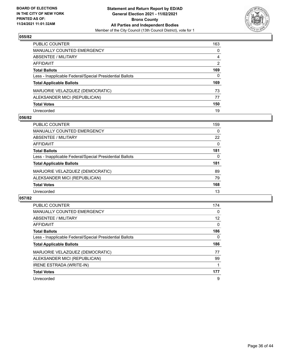

| PUBLIC COUNTER                                           | 163           |
|----------------------------------------------------------|---------------|
| <b>MANUALLY COUNTED EMERGENCY</b>                        | 0             |
| <b>ABSENTEE / MILITARY</b>                               | 4             |
| AFFIDAVIT                                                | $\mathcal{P}$ |
| <b>Total Ballots</b>                                     | 169           |
| Less - Inapplicable Federal/Special Presidential Ballots | 0             |
| <b>Total Applicable Ballots</b>                          | 169           |
| MARJORIE VELAZQUEZ (DEMOCRATIC)                          | 73            |
| ALEKSANDER MICI (REPUBLICAN)                             | 77            |
| <b>Total Votes</b>                                       | 150           |
| Unrecorded                                               | 19            |

### **056/82**

| <b>PUBLIC COUNTER</b>                                    | 159      |
|----------------------------------------------------------|----------|
| <b>MANUALLY COUNTED EMERGENCY</b>                        | $\Omega$ |
| ABSENTEE / MILITARY                                      | 22       |
| AFFIDAVIT                                                | $\Omega$ |
| <b>Total Ballots</b>                                     | 181      |
| Less - Inapplicable Federal/Special Presidential Ballots | $\Omega$ |
| <b>Total Applicable Ballots</b>                          | 181      |
| MARJORIE VELAZQUEZ (DEMOCRATIC)                          | 89       |
| ALEKSANDER MICI (REPUBLICAN)                             | 79       |
| <b>Total Votes</b>                                       | 168      |
| Unrecorded                                               | 13       |

| <b>PUBLIC COUNTER</b>                                    | 174 |
|----------------------------------------------------------|-----|
| <b>MANUALLY COUNTED EMERGENCY</b>                        | 0   |
| ABSENTEE / MILITARY                                      | 12  |
| <b>AFFIDAVIT</b>                                         | 0   |
| <b>Total Ballots</b>                                     | 186 |
| Less - Inapplicable Federal/Special Presidential Ballots | 0   |
|                                                          |     |
| <b>Total Applicable Ballots</b>                          | 186 |
| MARJORIE VELAZQUEZ (DEMOCRATIC)                          | 77  |
| ALEKSANDER MICI (REPUBLICAN)                             | 99  |
| <b>IRENE ESTRADA (WRITE-IN)</b>                          |     |
| <b>Total Votes</b>                                       | 177 |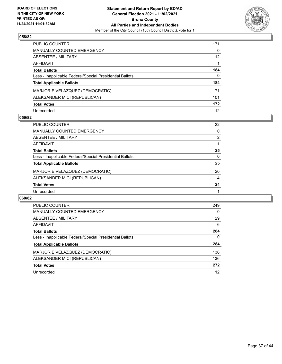

| PUBLIC COUNTER                                           | 171             |
|----------------------------------------------------------|-----------------|
| <b>MANUALLY COUNTED EMERGENCY</b>                        | $\Omega$        |
| <b>ABSENTEE / MILITARY</b>                               | 12 <sup>2</sup> |
| <b>AFFIDAVIT</b>                                         |                 |
| <b>Total Ballots</b>                                     | 184             |
| Less - Inapplicable Federal/Special Presidential Ballots | 0               |
| <b>Total Applicable Ballots</b>                          | 184             |
| MARJORIE VELAZQUEZ (DEMOCRATIC)                          | 71              |
| ALEKSANDER MICI (REPUBLICAN)                             | 101             |
| <b>Total Votes</b>                                       | 172             |
| Unrecorded                                               | 12              |

### **059/82**

| <b>PUBLIC COUNTER</b>                                    | 22             |
|----------------------------------------------------------|----------------|
| <b>MANUALLY COUNTED EMERGENCY</b>                        | 0              |
| ABSENTEE / MILITARY                                      | $\overline{2}$ |
| AFFIDAVIT                                                |                |
| <b>Total Ballots</b>                                     | 25             |
| Less - Inapplicable Federal/Special Presidential Ballots | 0              |
| <b>Total Applicable Ballots</b>                          | 25             |
| MARJORIE VELAZQUEZ (DEMOCRATIC)                          | 20             |
| ALEKSANDER MICI (REPUBLICAN)                             | 4              |
| <b>Total Votes</b>                                       | 24             |
| Unrecorded                                               |                |

| <b>PUBLIC COUNTER</b>                                    | 249      |
|----------------------------------------------------------|----------|
| <b>MANUALLY COUNTED EMERGENCY</b>                        | 0        |
| ABSENTEE / MILITARY                                      | 29       |
| AFFIDAVIT                                                | 6        |
| <b>Total Ballots</b>                                     | 284      |
| Less - Inapplicable Federal/Special Presidential Ballots | $\Omega$ |
| <b>Total Applicable Ballots</b>                          | 284      |
| MARJORIE VELAZQUEZ (DEMOCRATIC)                          | 136      |
| ALEKSANDER MICI (REPUBLICAN)                             | 136      |
| <b>Total Votes</b>                                       | 272      |
| Unrecorded                                               | 12       |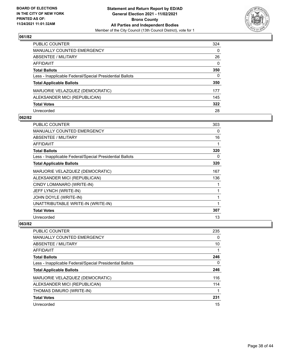

| PUBLIC COUNTER                                           | 324          |
|----------------------------------------------------------|--------------|
| <b>MANUALLY COUNTED EMERGENCY</b>                        | 0            |
| <b>ABSENTEE / MILITARY</b>                               | 26           |
| AFFIDAVIT                                                | $\mathbf{0}$ |
| <b>Total Ballots</b>                                     | 350          |
| Less - Inapplicable Federal/Special Presidential Ballots | $\mathbf{0}$ |
| <b>Total Applicable Ballots</b>                          | 350          |
| MARJORIE VELAZQUEZ (DEMOCRATIC)                          | 177          |
| ALEKSANDER MICI (REPUBLICAN)                             | 145          |
| <b>Total Votes</b>                                       | 322          |
| Unrecorded                                               | 28           |

### **062/82**

| PUBLIC COUNTER                                           | 303 |
|----------------------------------------------------------|-----|
| MANUALLY COUNTED EMERGENCY                               | 0   |
| <b>ABSENTEE / MILITARY</b>                               | 16  |
| AFFIDAVIT                                                |     |
| <b>Total Ballots</b>                                     | 320 |
| Less - Inapplicable Federal/Special Presidential Ballots | 0   |
| <b>Total Applicable Ballots</b>                          | 320 |
| MARJORIE VELAZQUEZ (DEMOCRATIC)                          | 167 |
| ALEKSANDER MICI (REPUBLICAN)                             | 136 |
| CINDY LOMANARO (WRITE-IN)                                |     |
| JEFF LYNCH (WRITE-IN)                                    |     |
| JOHN DOYLE (WRITE-IN)                                    |     |
| UNATTRIBUTABLE WRITE-IN (WRITE-IN)                       | 1   |
| <b>Total Votes</b>                                       | 307 |
| Unrecorded                                               | 13  |

| <b>PUBLIC COUNTER</b>                                    | 235 |
|----------------------------------------------------------|-----|
| <b>MANUALLY COUNTED EMERGENCY</b>                        | 0   |
| ABSENTEE / MILITARY                                      | 10  |
| AFFIDAVIT                                                |     |
| <b>Total Ballots</b>                                     | 246 |
| Less - Inapplicable Federal/Special Presidential Ballots | 0   |
| <b>Total Applicable Ballots</b>                          | 246 |
| MARJORIE VELAZQUEZ (DEMOCRATIC)                          | 116 |
| ALEKSANDER MICI (REPUBLICAN)                             | 114 |
| THOMAS DIMURO (WRITE-IN)                                 |     |
| <b>Total Votes</b>                                       | 231 |
| Unrecorded                                               | 15  |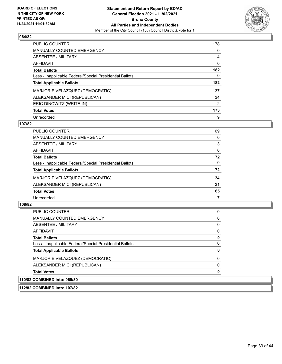

| <b>PUBLIC COUNTER</b>                                    | 178 |
|----------------------------------------------------------|-----|
| <b>MANUALLY COUNTED EMERGENCY</b>                        | 0   |
| ABSENTEE / MILITARY                                      | 4   |
| <b>AFFIDAVIT</b>                                         | 0   |
| <b>Total Ballots</b>                                     | 182 |
| Less - Inapplicable Federal/Special Presidential Ballots | 0   |
| <b>Total Applicable Ballots</b>                          | 182 |
| MARJORIE VELAZQUEZ (DEMOCRATIC)                          | 137 |
| ALEKSANDER MICI (REPUBLICAN)                             | 34  |
| ERIC DINOWITZ (WRITE-IN)                                 | 2   |
| <b>Total Votes</b>                                       | 173 |
| Unrecorded                                               | 9   |

### **107/82**

| <b>PUBLIC COUNTER</b>                                    | 69       |
|----------------------------------------------------------|----------|
| <b>MANUALLY COUNTED EMERGENCY</b>                        | 0        |
| ABSENTEE / MILITARY                                      | 3        |
| AFFIDAVIT                                                | $\Omega$ |
| <b>Total Ballots</b>                                     | 72       |
| Less - Inapplicable Federal/Special Presidential Ballots | $\Omega$ |
| <b>Total Applicable Ballots</b>                          | 72       |
| MARJORIE VELAZQUEZ (DEMOCRATIC)                          | 34       |
| ALEKSANDER MICI (REPUBLICAN)                             | 31       |
| <b>Total Votes</b>                                       | 65       |
| Unrecorded                                               | 7        |

# **108/82**

| <b>PUBLIC COUNTER</b>                                    | $\Omega$ |
|----------------------------------------------------------|----------|
| <b>MANUALLY COUNTED EMERGENCY</b>                        | 0        |
| ABSENTEE / MILITARY                                      | 0        |
| AFFIDAVIT                                                | $\Omega$ |
| <b>Total Ballots</b>                                     | 0        |
| Less - Inapplicable Federal/Special Presidential Ballots | $\Omega$ |
| <b>Total Applicable Ballots</b>                          | 0        |
| MARJORIE VELAZQUEZ (DEMOCRATIC)                          | $\Omega$ |
| ALEKSANDER MICI (REPUBLICAN)                             | $\Omega$ |
| <b>Total Votes</b>                                       | 0        |
| 110/82 COMBINED into: 069/80                             |          |

**112/82 COMBINED into: 107/82**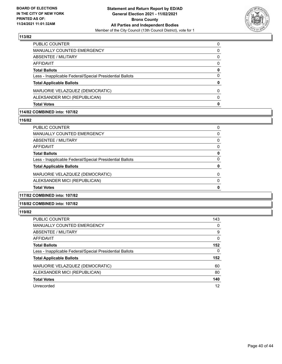

| <b>Total Votes</b>                                       | 0        |
|----------------------------------------------------------|----------|
| ALEKSANDER MICI (REPUBLICAN)                             | $\Omega$ |
| MARJORIE VELAZQUEZ (DEMOCRATIC)                          | 0        |
| <b>Total Applicable Ballots</b>                          | 0        |
| Less - Inapplicable Federal/Special Presidential Ballots | $\Omega$ |
| <b>Total Ballots</b>                                     | 0        |
| AFFIDAVIT                                                | $\Omega$ |
| ABSENTEE / MILITARY                                      | 0        |
| MANUALLY COUNTED EMERGENCY                               | 0        |
| PUBLIC COUNTER                                           | 0        |

# **114/82 COMBINED into: 107/82**

#### **116/82**

| <b>Total Votes</b>                                       |          |
|----------------------------------------------------------|----------|
| ALEKSANDER MICI (REPUBLICAN)                             | 0        |
| MARJORIE VELAZQUEZ (DEMOCRATIC)                          | 0        |
| <b>Total Applicable Ballots</b>                          |          |
| Less - Inapplicable Federal/Special Presidential Ballots | 0        |
| <b>Total Ballots</b>                                     | 0        |
| AFFIDAVIT                                                | $\Omega$ |
| <b>ABSENTEE / MILITARY</b>                               | 0        |
| <b>MANUALLY COUNTED EMERGENCY</b>                        | 0        |
| PUBLIC COUNTER                                           | 0        |

### **117/82 COMBINED into: 107/82**

### **118/82 COMBINED into: 107/82**

| <b>PUBLIC COUNTER</b>                                    | 143 |
|----------------------------------------------------------|-----|
| <b>MANUALLY COUNTED EMERGENCY</b>                        | 0   |
| ABSENTEE / MILITARY                                      | 9   |
| AFFIDAVIT                                                | 0   |
| <b>Total Ballots</b>                                     | 152 |
| Less - Inapplicable Federal/Special Presidential Ballots | 0   |
| <b>Total Applicable Ballots</b>                          | 152 |
| MARJORIE VELAZQUEZ (DEMOCRATIC)                          | 60  |
| ALEKSANDER MICI (REPUBLICAN)                             | 80  |
| <b>Total Votes</b>                                       | 140 |
| Unrecorded                                               | 12  |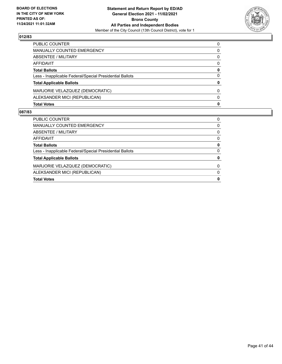

| PUBLIC COUNTER                                           | 0        |
|----------------------------------------------------------|----------|
| <b>MANUALLY COUNTED EMERGENCY</b>                        | 0        |
| <b>ABSENTEE / MILITARY</b>                               | $\Omega$ |
| <b>AFFIDAVIT</b>                                         | $\Omega$ |
| <b>Total Ballots</b>                                     | 0        |
| Less - Inapplicable Federal/Special Presidential Ballots | $\Omega$ |
| <b>Total Applicable Ballots</b>                          | 0        |
| MARJORIE VELAZQUEZ (DEMOCRATIC)                          | $\Omega$ |
| ALEKSANDER MICI (REPUBLICAN)                             | $\Omega$ |
| <b>Total Votes</b>                                       | 0        |

| <b>Total Votes</b>                                       | 0        |
|----------------------------------------------------------|----------|
| ALEKSANDER MICI (REPUBLICAN)                             | 0        |
| MARJORIE VELAZQUEZ (DEMOCRATIC)                          | $\Omega$ |
| <b>Total Applicable Ballots</b>                          | 0        |
| Less - Inapplicable Federal/Special Presidential Ballots | 0        |
| <b>Total Ballots</b>                                     | 0        |
| AFFIDAVIT                                                | 0        |
| ABSENTEE / MILITARY                                      | 0        |
| <b>MANUALLY COUNTED EMERGENCY</b>                        | 0        |
| PUBLIC COUNTER                                           | 0        |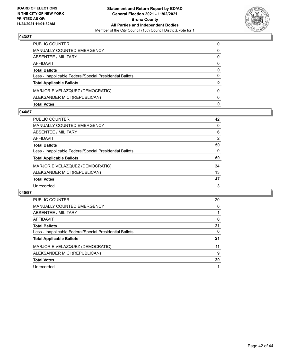

| <b>Total Votes</b>                                       | 0            |
|----------------------------------------------------------|--------------|
| ALEKSANDER MICI (REPUBLICAN)                             | <sup>0</sup> |
| MARJORIE VELAZQUEZ (DEMOCRATIC)                          | $\Omega$     |
| <b>Total Applicable Ballots</b>                          | 0            |
| Less - Inapplicable Federal/Special Presidential Ballots | 0            |
| <b>Total Ballots</b>                                     | 0            |
| AFFIDAVIT                                                | $\Omega$     |
| <b>ABSENTEE / MILITARY</b>                               | 0            |
| <b>MANUALLY COUNTED EMERGENCY</b>                        | 0            |
| PUBLIC COUNTER                                           | $\Omega$     |

### **044/87**

| PUBLIC COUNTER                                           | 42             |
|----------------------------------------------------------|----------------|
| <b>MANUALLY COUNTED EMERGENCY</b>                        | 0              |
| <b>ABSENTEE / MILITARY</b>                               | 6              |
| <b>AFFIDAVIT</b>                                         | $\overline{2}$ |
| <b>Total Ballots</b>                                     | 50             |
| Less - Inapplicable Federal/Special Presidential Ballots | 0              |
| <b>Total Applicable Ballots</b>                          | 50             |
| MARJORIE VELAZQUEZ (DEMOCRATIC)                          | 34             |
| ALEKSANDER MICI (REPUBLICAN)                             | 13             |
| <b>Total Votes</b>                                       | 47             |
| Unrecorded                                               | 3              |
|                                                          |                |

| <b>PUBLIC COUNTER</b>                                    | 20 |
|----------------------------------------------------------|----|
| <b>MANUALLY COUNTED EMERGENCY</b>                        | 0  |
| ABSENTEE / MILITARY                                      |    |
| <b>AFFIDAVIT</b>                                         | 0  |
| <b>Total Ballots</b>                                     | 21 |
| Less - Inapplicable Federal/Special Presidential Ballots | 0  |
| <b>Total Applicable Ballots</b>                          | 21 |
| MARJORIE VELAZQUEZ (DEMOCRATIC)                          | 11 |
| ALEKSANDER MICI (REPUBLICAN)                             | 9  |
| <b>Total Votes</b>                                       | 20 |
| Unrecorded                                               |    |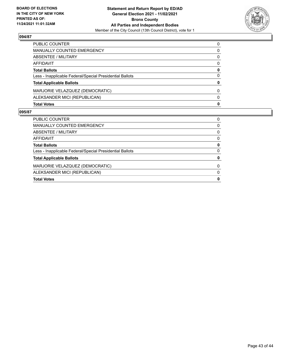

| <b>Total Votes</b>                                       | 0        |
|----------------------------------------------------------|----------|
| ALEKSANDER MICI (REPUBLICAN)                             | 0        |
| MARJORIE VELAZQUEZ (DEMOCRATIC)                          | $\Omega$ |
| <b>Total Applicable Ballots</b>                          | 0        |
| Less - Inapplicable Federal/Special Presidential Ballots | 0        |
| <b>Total Ballots</b>                                     | 0        |
| AFFIDAVIT                                                | 0        |
| ABSENTEE / MILITARY                                      | 0        |
| <b>MANUALLY COUNTED EMERGENCY</b>                        | 0        |
| PUBLIC COUNTER                                           | $\Omega$ |

| <b>PUBLIC COUNTER</b>                                    | 0        |
|----------------------------------------------------------|----------|
| <b>MANUALLY COUNTED EMERGENCY</b>                        | 0        |
| ABSENTEE / MILITARY                                      | 0        |
| AFFIDAVIT                                                | 0        |
| <b>Total Ballots</b>                                     | 0        |
| Less - Inapplicable Federal/Special Presidential Ballots | 0        |
| <b>Total Applicable Ballots</b>                          | 0        |
| MARJORIE VELAZQUEZ (DEMOCRATIC)                          | $\Omega$ |
| ALEKSANDER MICI (REPUBLICAN)                             | $\Omega$ |
| <b>Total Votes</b>                                       | 0        |
|                                                          |          |